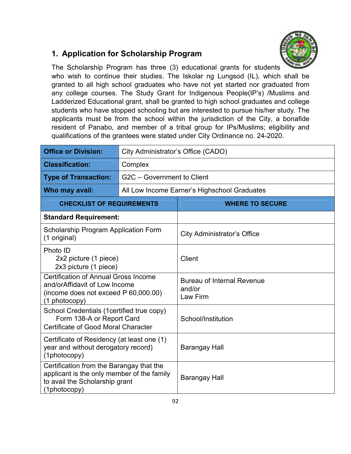

## **1. Application for Scholarship Program**

The Scholarship Program has three (3) educational grants for students who wish to continue their studies. The Iskolar ng Lungsod (IL), which shall be granted to all high school graduates who have not yet started nor graduated from any college courses. The Study Grant for Indigenous People(IP's) /Muslims and Ladderized Educational grant, shall be granted to high school graduates and college students who have stopped schooling but are interested to pursue his/her study. The applicants must be from the school within the jurisdiction of the City, a bonafide resident of Panabo, and member of a tribal group for IPs/Muslims; eligibility and qualifications of the grantees were stated under City Ordinance no. 24-2020.

| <b>Office or Division:</b>                                                                                                               | City Administrator's Office (CADO) |                                                         |  |  |
|------------------------------------------------------------------------------------------------------------------------------------------|------------------------------------|---------------------------------------------------------|--|--|
| <b>Classification:</b>                                                                                                                   | Complex                            |                                                         |  |  |
| <b>Type of Transaction:</b>                                                                                                              | G2C - Government to Client         |                                                         |  |  |
| Who may avail:                                                                                                                           |                                    | All Low Income Earner's Highschool Graduates            |  |  |
| <b>CHECKLIST OF REQUIREMENTS</b>                                                                                                         |                                    | <b>WHERE TO SECURE</b>                                  |  |  |
| <b>Standard Requirement:</b>                                                                                                             |                                    |                                                         |  |  |
| <b>Scholarship Program Application Form</b><br>(1 original)                                                                              |                                    | <b>City Administrator's Office</b>                      |  |  |
| Photo ID<br>2x2 picture (1 piece)<br>2x3 picture (1 piece)                                                                               |                                    | Client                                                  |  |  |
| <b>Certification of Annual Gross Income</b><br>and/orAffidavit of Low Income<br>(income does not exceed P 60,000.00)<br>(1 photocopy)    |                                    | <b>Bureau of Internal Revenue</b><br>and/or<br>Law Firm |  |  |
| School Credentials (1certified true copy)<br>Form 138-A or Report Card<br>Certificate of Good Moral Character                            |                                    | School/Institution                                      |  |  |
| Certificate of Residency (at least one (1)<br>year and without derogatory record)<br>(1photocopy)                                        |                                    | Barangay Hall                                           |  |  |
| Certification from the Barangay that the<br>applicant is the only member of the family<br>to avail the Scholarship grant<br>(1photocopy) |                                    | <b>Barangay Hall</b>                                    |  |  |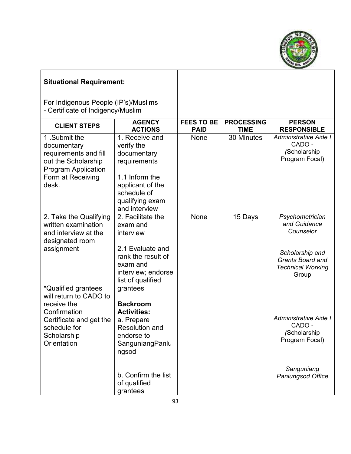

## **Situational Requirement:**

For Indigenous People (IP's)/Muslims - Certificate of Indigency/Muslim

| <b>CLIENT STEPS</b>                                                                                                                                   | <b>AGENCY</b><br><b>ACTIONS</b>                                                                                                                                               | <b>FEES TO BE</b><br><b>PAID</b> | <b>PROCESSING</b><br><b>TIME</b> | <b>PERSON</b><br><b>RESPONSIBLE</b>                                                                                    |
|-------------------------------------------------------------------------------------------------------------------------------------------------------|-------------------------------------------------------------------------------------------------------------------------------------------------------------------------------|----------------------------------|----------------------------------|------------------------------------------------------------------------------------------------------------------------|
| 1.Submit the<br>documentary<br>requirements and fill<br>out the Scholarship<br><b>Program Application</b><br>Form at Receiving<br>desk.               | 1. Receive and<br>verify the<br>documentary<br>requirements<br>1.1 Inform the<br>applicant of the<br>schedule of<br>qualifying exam<br>and interview                          | None                             | 30 Minutes                       | Administrative Aide I<br>CADO -<br>(Scholarship<br>Program Focal)                                                      |
| 2. Take the Qualifying<br>written examination<br>and interview at the<br>designated room<br>assignment                                                | 2. Facilitate the<br>exam and<br>interview<br>2.1 Evaluate and<br>rank the result of<br>exam and                                                                              | None                             | 15 Days                          | Psychometrician<br>and Guidance<br>Counselor<br>Scholarship and<br><b>Grants Board and</b><br><b>Technical Working</b> |
| *Qualified grantees<br>will return to CADO to<br>receive the<br>Confirmation<br>Certificate and get the<br>schedule for<br>Scholarship<br>Orientation | interview; endorse<br>list of qualified<br>grantees<br><b>Backroom</b><br><b>Activities:</b><br>a. Prepare<br><b>Resolution and</b><br>endorse to<br>SanguniangPanlu<br>ngsod |                                  |                                  | Group<br>Administrative Aide I<br>CADO -<br>(Scholarship<br>Program Focal)                                             |
|                                                                                                                                                       | b. Confirm the list<br>of qualified<br>grantees                                                                                                                               |                                  |                                  | Sanguniang<br><b>Panlungsod Office</b>                                                                                 |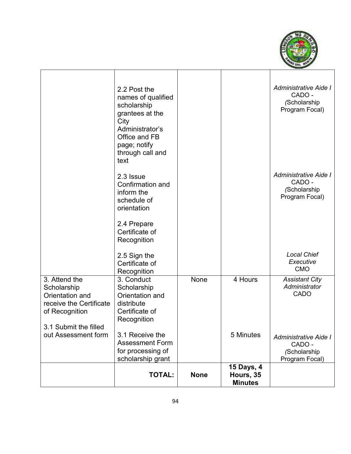

|                                                                                                                       | 2.2 Post the<br>names of qualified<br>scholarship<br>grantees at the<br>City<br>Administrator's<br>Office and FB<br>page; notify<br>through call and<br>text |             |                                           | Administrative Aide I<br>CADO -<br>(Scholarship<br>Program Focal)        |
|-----------------------------------------------------------------------------------------------------------------------|--------------------------------------------------------------------------------------------------------------------------------------------------------------|-------------|-------------------------------------------|--------------------------------------------------------------------------|
|                                                                                                                       | 2.3 Issue<br>Confirmation and<br>inform the<br>schedule of<br>orientation                                                                                    |             |                                           | <b>Administrative Aide I</b><br>CADO -<br>(Scholarship<br>Program Focal) |
|                                                                                                                       | 2.4 Prepare<br>Certificate of<br>Recognition                                                                                                                 |             |                                           |                                                                          |
|                                                                                                                       | 2.5 Sign the<br>Certificate of<br>Recognition                                                                                                                |             |                                           | <b>Local Chief</b><br>Executive<br><b>CMO</b>                            |
| 3. Attend the<br>Scholarship<br>Orientation and<br>receive the Certificate<br>of Recognition<br>3.1 Submit the filled | 3. Conduct<br>Scholarship<br>Orientation and<br>distribute<br>Certificate of<br>Recognition                                                                  | None        | 4 Hours                                   | <b>Assistant City</b><br>Administrator<br>CADO                           |
| out Assessment form                                                                                                   | 3.1 Receive the<br><b>Assessment Form</b><br>for processing of<br>scholarship grant                                                                          |             | 5 Minutes                                 | <b>Administrative Aide I</b><br>CADO -<br>(Scholarship<br>Program Focal) |
|                                                                                                                       | <b>TOTAL:</b>                                                                                                                                                | <b>None</b> | 15 Days, 4<br>Hours, 35<br><b>Minutes</b> |                                                                          |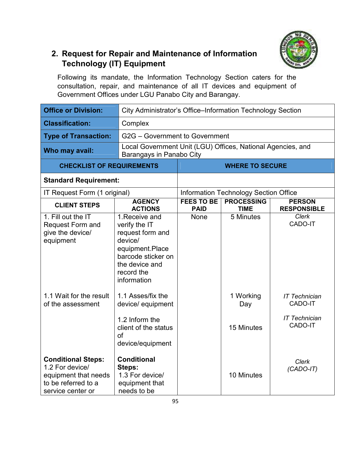

### **2. Request for Repair and Maintenance of Information Technology (IT) Equipment**

Following its mandate, the Information Technology Section caters for the consultation, repair, and maintenance of all IT devices and equipment of Government Offices under LGU Panabo City and Barangay.

| <b>Office or Division:</b>                                                                                       |                                                                                                                                                        | City Administrator's Office-Information Technology Section |                                       |                                                                    |  |
|------------------------------------------------------------------------------------------------------------------|--------------------------------------------------------------------------------------------------------------------------------------------------------|------------------------------------------------------------|---------------------------------------|--------------------------------------------------------------------|--|
| <b>Classification:</b>                                                                                           | Complex                                                                                                                                                |                                                            |                                       |                                                                    |  |
| <b>Type of Transaction:</b>                                                                                      | G2G - Government to Government                                                                                                                         |                                                            |                                       |                                                                    |  |
| Who may avail:                                                                                                   | Local Government Unit (LGU) Offices, National Agencies, and<br>Barangays in Panabo City                                                                |                                                            |                                       |                                                                    |  |
| <b>CHECKLIST OF REQUIREMENTS</b>                                                                                 |                                                                                                                                                        |                                                            | <b>WHERE TO SECURE</b>                |                                                                    |  |
| <b>Standard Requirement:</b>                                                                                     |                                                                                                                                                        |                                                            |                                       |                                                                    |  |
| IT Request Form (1 original)                                                                                     |                                                                                                                                                        |                                                            | Information Technology Section Office |                                                                    |  |
| <b>CLIENT STEPS</b>                                                                                              | <b>AGENCY</b><br><b>ACTIONS</b>                                                                                                                        | <b>FEES TO BE</b><br><b>PAID</b>                           | <b>PROCESSING</b><br><b>TIME</b>      | <b>PERSON</b><br><b>RESPONSIBLE</b>                                |  |
| 1. Fill out the IT<br><b>Request Form and</b><br>give the device/<br>equipment                                   | 1. Receive and<br>verify the IT<br>request form and<br>device/<br>equipment.Place<br>barcode sticker on<br>the device and<br>record the<br>information | None                                                       | 5 Minutes                             | Clerk<br>CADO-IT                                                   |  |
| 1.1 Wait for the result<br>of the assessment                                                                     | 1.1 Asses/fix the<br>device/ equipment<br>1.2 Inform the<br>client of the status<br>of<br>device/equipment                                             |                                                            | 1 Working<br>Day<br>15 Minutes        | <b>IT Technician</b><br>CADO-IT<br><b>IT Technician</b><br>CADO-IT |  |
| <b>Conditional Steps:</b><br>1.2 For device/<br>equipment that needs<br>to be referred to a<br>service center or | <b>Conditional</b><br>Steps:<br>1.3 For device/<br>equipment that<br>needs to be                                                                       |                                                            | 10 Minutes                            | <b>Clerk</b><br>$(CADO-IT)$                                        |  |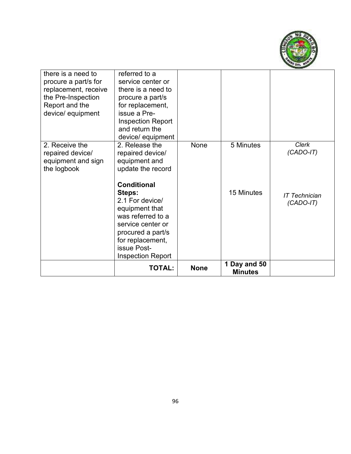

| there is a need to<br>procure a part/s for<br>replacement, receive<br>the Pre-Inspection<br>Report and the<br>device/ equipment | referred to a<br>service center or<br>there is a need to<br>procure a part/s<br>for replacement,<br>issue a Pre-<br><b>Inspection Report</b><br>and return the<br>device/ equipment             |             |                                |                                     |
|---------------------------------------------------------------------------------------------------------------------------------|-------------------------------------------------------------------------------------------------------------------------------------------------------------------------------------------------|-------------|--------------------------------|-------------------------------------|
| 2. Receive the<br>repaired device/<br>equipment and sign<br>the logbook                                                         | 2. Release the<br>repaired device/<br>equipment and<br>update the record                                                                                                                        | None        | 5 Minutes                      | <b>Clerk</b><br>$(CADO-IT)$         |
|                                                                                                                                 | <b>Conditional</b><br>Steps:<br>2.1 For device/<br>equipment that<br>was referred to a<br>service center or<br>procured a part/s<br>for replacement,<br>issue Post-<br><b>Inspection Report</b> |             | 15 Minutes                     | <b>IT Technician</b><br>$(CADO-IT)$ |
|                                                                                                                                 | <b>TOTAL:</b>                                                                                                                                                                                   | <b>None</b> | 1 Day and 50<br><b>Minutes</b> |                                     |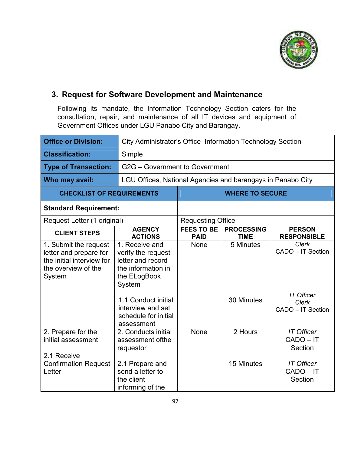

#### **3. Request for Software Development and Maintenance**

Following its mandate, the Information Technology Section caters for the consultation, repair, and maintenance of all IT devices and equipment of Government Offices under LGU Panabo City and Barangay.

| <b>Office or Division:</b>                                                                                    |                                                                                                                                                                                             | City Administrator's Office-Information Technology Section |                                  |                                                                                      |  |
|---------------------------------------------------------------------------------------------------------------|---------------------------------------------------------------------------------------------------------------------------------------------------------------------------------------------|------------------------------------------------------------|----------------------------------|--------------------------------------------------------------------------------------|--|
| <b>Classification:</b>                                                                                        | Simple                                                                                                                                                                                      |                                                            |                                  |                                                                                      |  |
| <b>Type of Transaction:</b>                                                                                   |                                                                                                                                                                                             | G2G - Government to Government                             |                                  |                                                                                      |  |
| Who may avail:                                                                                                | LGU Offices, National Agencies and barangays in Panabo City                                                                                                                                 |                                                            |                                  |                                                                                      |  |
| <b>CHECKLIST OF REQUIREMENTS</b>                                                                              |                                                                                                                                                                                             |                                                            | <b>WHERE TO SECURE</b>           |                                                                                      |  |
| <b>Standard Requirement:</b>                                                                                  |                                                                                                                                                                                             |                                                            |                                  |                                                                                      |  |
| Request Letter (1 original)                                                                                   |                                                                                                                                                                                             | <b>Requesting Office</b>                                   |                                  |                                                                                      |  |
| <b>CLIENT STEPS</b>                                                                                           | <b>AGENCY</b><br><b>ACTIONS</b>                                                                                                                                                             | <b>FEES TO BE</b><br><b>PAID</b>                           | <b>PROCESSING</b><br><b>TIME</b> | <b>PERSON</b><br><b>RESPONSIBLE</b>                                                  |  |
| 1. Submit the request<br>letter and prepare for<br>the initial interview for<br>the overview of the<br>System | 1. Receive and<br>verify the request<br>letter and record<br>the information in<br>the ELogBook<br>System<br>1.1 Conduct initial<br>interview and set<br>schedule for initial<br>assessment | None                                                       | 5 Minutes<br>30 Minutes          | Clerk<br>CADO - IT Section<br><b>IT Officer</b><br><b>Clerk</b><br>CADO - IT Section |  |
| 2. Prepare for the<br>initial assessment<br>2.1 Receive<br><b>Confirmation Request</b><br>Letter              | 2. Conducts initial<br>assessment of the<br>requestor<br>2.1 Prepare and<br>send a letter to<br>the client<br>informing of the                                                              | None                                                       | 2 Hours<br>15 Minutes            | <b>IT Officer</b><br>CADO-IT<br>Section<br><b>IT Officer</b><br>CADO-IT<br>Section   |  |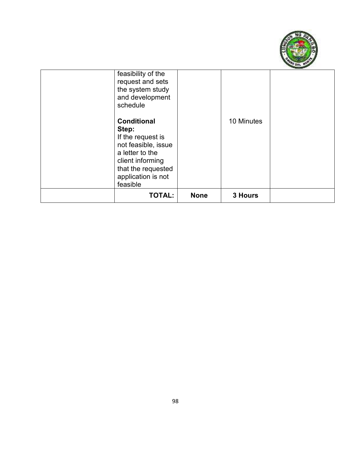

| feasibility of the<br>request and sets<br>the system study<br>and development<br>schedule                                                                              |             |            |  |
|------------------------------------------------------------------------------------------------------------------------------------------------------------------------|-------------|------------|--|
| <b>Conditional</b><br>Step:<br>If the request is<br>not feasible, issue<br>a letter to the<br>client informing<br>that the requested<br>application is not<br>feasible |             | 10 Minutes |  |
| <b>TOTAL:</b>                                                                                                                                                          | <b>None</b> | 3 Hours    |  |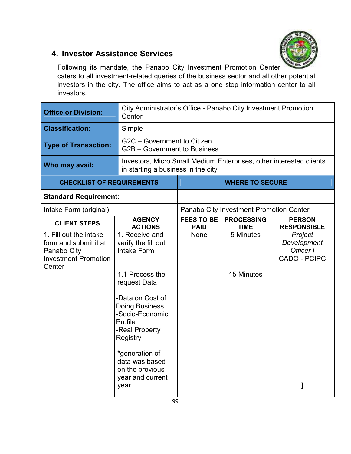

#### **4. Investor Assistance Services**

Following its mandate, the Panabo City Investment Promotion Center caters to all investment-related queries of the business sector and all other potential investors in the city. The office aims to act as a one stop information center to all investors.

| <b>Office or Division:</b>                                                                              | City Administrator's Office - Panabo City Investment Promotion<br>Center                                                                                                                                                                                                                   |                                                                                                             |                                         |                                                            |
|---------------------------------------------------------------------------------------------------------|--------------------------------------------------------------------------------------------------------------------------------------------------------------------------------------------------------------------------------------------------------------------------------------------|-------------------------------------------------------------------------------------------------------------|-----------------------------------------|------------------------------------------------------------|
| <b>Classification:</b>                                                                                  | Simple                                                                                                                                                                                                                                                                                     |                                                                                                             |                                         |                                                            |
| <b>Type of Transaction:</b>                                                                             | G2C - Government to Citizen<br>G2B - Government to Business                                                                                                                                                                                                                                |                                                                                                             |                                         |                                                            |
| Who may avail:                                                                                          | Investors, Micro Small Medium Enterprises, other interested clients<br>in starting a business in the city                                                                                                                                                                                  |                                                                                                             |                                         |                                                            |
| <b>CHECKLIST OF REQUIREMENTS</b>                                                                        |                                                                                                                                                                                                                                                                                            |                                                                                                             | <b>WHERE TO SECURE</b>                  |                                                            |
| <b>Standard Requirement:</b>                                                                            |                                                                                                                                                                                                                                                                                            |                                                                                                             |                                         |                                                            |
| Intake Form (original)                                                                                  |                                                                                                                                                                                                                                                                                            |                                                                                                             | Panabo City Investment Promotion Center |                                                            |
| <b>CLIENT STEPS</b>                                                                                     | <b>AGENCY</b><br><b>ACTIONS</b>                                                                                                                                                                                                                                                            | <b>FEES TO BE</b><br><b>PROCESSING</b><br><b>PERSON</b><br><b>RESPONSIBLE</b><br><b>PAID</b><br><b>TIME</b> |                                         |                                                            |
| 1. Fill out the intake<br>form and submit it at<br>Panabo City<br><b>Investment Promotion</b><br>Center | 1. Receive and<br>verify the fill out<br><b>Intake Form</b><br>1.1 Process the<br>request Data<br>-Data on Cost of<br><b>Doing Business</b><br>-Socio-Economic<br>Profile<br>-Real Property<br>Registry<br>*generation of<br>data was based<br>on the previous<br>year and current<br>year | <b>None</b>                                                                                                 | 5 Minutes<br>15 Minutes                 | Project<br>Development<br>Officer I<br><b>CADO - PCIPC</b> |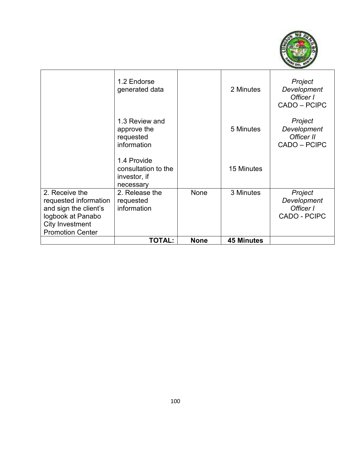

|                                                                                                                                     | 1.2 Endorse<br>generated data                                   |             | 2 Minutes         | Project<br>Development<br>Officer I<br>CADO - PCIPC        |
|-------------------------------------------------------------------------------------------------------------------------------------|-----------------------------------------------------------------|-------------|-------------------|------------------------------------------------------------|
|                                                                                                                                     | 1.3 Review and<br>approve the<br>requested<br>information       |             | 5 Minutes         | Project<br>Development<br>Officer II<br>CADO - PCIPC       |
|                                                                                                                                     | 1.4 Provide<br>consultation to the<br>investor, if<br>necessary |             | 15 Minutes        |                                                            |
| 2. Receive the<br>requested information<br>and sign the client's<br>logbook at Panabo<br>City Investment<br><b>Promotion Center</b> | 2. Release the<br>requested<br>information                      | None        | 3 Minutes         | Project<br>Development<br>Officer I<br><b>CADO - PCIPC</b> |
|                                                                                                                                     | <b>TOTAL:</b>                                                   | <b>None</b> | <b>45 Minutes</b> |                                                            |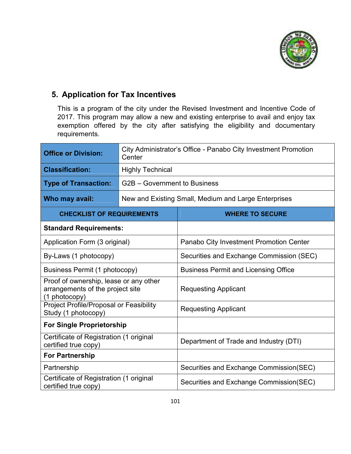

## **5. Application for Tax Incentives**

This is a program of the city under the Revised Investment and Incentive Code of 2017. This program may allow a new and existing enterprise to avail and enjoy tax exemption offered by the city after satisfying the eligibility and documentary requirements.

| <b>Office or Division:</b>                                                                  | City Administrator's Office - Panabo City Investment Promotion<br>Center |                                                      |  |  |
|---------------------------------------------------------------------------------------------|--------------------------------------------------------------------------|------------------------------------------------------|--|--|
| <b>Classification:</b>                                                                      | <b>Highly Technical</b>                                                  |                                                      |  |  |
| <b>Type of Transaction:</b>                                                                 | G2B - Government to Business                                             |                                                      |  |  |
| Who may avail:                                                                              |                                                                          | New and Existing Small, Medium and Large Enterprises |  |  |
| <b>CHECKLIST OF REQUIREMENTS</b>                                                            |                                                                          | <b>WHERE TO SECURE</b>                               |  |  |
| <b>Standard Requirements:</b>                                                               |                                                                          |                                                      |  |  |
| Application Form (3 original)                                                               |                                                                          | Panabo City Investment Promotion Center              |  |  |
| By-Laws (1 photocopy)                                                                       |                                                                          | Securities and Exchange Commission (SEC)             |  |  |
| <b>Business Permit (1 photocopy)</b>                                                        |                                                                          | <b>Business Permit and Licensing Office</b>          |  |  |
| Proof of ownership, lease or any other<br>arrangements of the project site<br>(1 photocopy) |                                                                          | <b>Requesting Applicant</b>                          |  |  |
| Project Profile/Proposal or Feasibility<br>Study (1 photocopy)                              |                                                                          | <b>Requesting Applicant</b>                          |  |  |
| <b>For Single Proprietorship</b>                                                            |                                                                          |                                                      |  |  |
| Certificate of Registration (1 original<br>certified true copy)                             |                                                                          | Department of Trade and Industry (DTI)               |  |  |
| <b>For Partnership</b>                                                                      |                                                                          |                                                      |  |  |
| Partnership                                                                                 |                                                                          | Securities and Exchange Commission(SEC)              |  |  |
| Certificate of Registration (1 original<br>certified true copy)                             |                                                                          | Securities and Exchange Commission(SEC)              |  |  |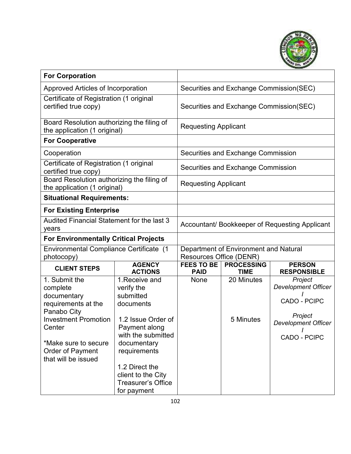

| <b>For Corporation</b>                                                                                                                                                                            |                                                                                                                                                                                                                                        |                                                                         |                                         |                                                                                                                |
|---------------------------------------------------------------------------------------------------------------------------------------------------------------------------------------------------|----------------------------------------------------------------------------------------------------------------------------------------------------------------------------------------------------------------------------------------|-------------------------------------------------------------------------|-----------------------------------------|----------------------------------------------------------------------------------------------------------------|
| Approved Articles of Incorporation                                                                                                                                                                |                                                                                                                                                                                                                                        | Securities and Exchange Commission(SEC)                                 |                                         |                                                                                                                |
| Certificate of Registration (1 original<br>certified true copy)                                                                                                                                   |                                                                                                                                                                                                                                        |                                                                         | Securities and Exchange Commission(SEC) |                                                                                                                |
| Board Resolution authorizing the filing of<br>the application (1 original)                                                                                                                        |                                                                                                                                                                                                                                        | <b>Requesting Applicant</b>                                             |                                         |                                                                                                                |
| <b>For Cooperative</b>                                                                                                                                                                            |                                                                                                                                                                                                                                        |                                                                         |                                         |                                                                                                                |
| Cooperation                                                                                                                                                                                       |                                                                                                                                                                                                                                        |                                                                         | Securities and Exchange Commission      |                                                                                                                |
| Certificate of Registration (1 original<br>certified true copy)                                                                                                                                   |                                                                                                                                                                                                                                        |                                                                         | Securities and Exchange Commission      |                                                                                                                |
| Board Resolution authorizing the filing of<br>the application (1 original)                                                                                                                        |                                                                                                                                                                                                                                        | <b>Requesting Applicant</b>                                             |                                         |                                                                                                                |
| <b>Situational Requirements:</b>                                                                                                                                                                  |                                                                                                                                                                                                                                        |                                                                         |                                         |                                                                                                                |
| <b>For Existing Enterprise</b>                                                                                                                                                                    |                                                                                                                                                                                                                                        |                                                                         |                                         |                                                                                                                |
| Audited Financial Statement for the last 3<br>years                                                                                                                                               |                                                                                                                                                                                                                                        | Accountant/ Bookkeeper of Requesting Applicant                          |                                         |                                                                                                                |
| <b>For Environmentally Critical Projects</b>                                                                                                                                                      |                                                                                                                                                                                                                                        |                                                                         |                                         |                                                                                                                |
| Environmental Compliance Certificate (1<br>photocopy)                                                                                                                                             |                                                                                                                                                                                                                                        | Department of Environment and Natural<br><b>Resources Office (DENR)</b> |                                         |                                                                                                                |
| <b>CLIENT STEPS</b>                                                                                                                                                                               | <b>AGENCY</b><br><b>ACTIONS</b>                                                                                                                                                                                                        | <b>FEES TO BE</b><br><b>PAID</b>                                        | <b>PROCESSING</b><br><b>TIME</b>        | <b>PERSON</b><br><b>RESPONSIBLE</b>                                                                            |
| 1. Submit the<br>complete<br>documentary<br>requirements at the<br>Panabo City<br><b>Investment Promotion</b><br>Center<br>*Make sure to secure<br><b>Order of Payment</b><br>that will be issued | 1. Receive and<br>verify the<br>submitted<br>documents<br>1.2 Issue Order of<br>Payment along<br>with the submitted<br>documentary<br>requirements<br>1.2 Direct the<br>client to the City<br><b>Treasurer's Office</b><br>for payment | None                                                                    | 20 Minutes<br>5 Minutes                 | Project<br><b>Development Officer</b><br>CADO - PCIPC<br>Project<br><b>Development Officer</b><br>CADO - PCIPC |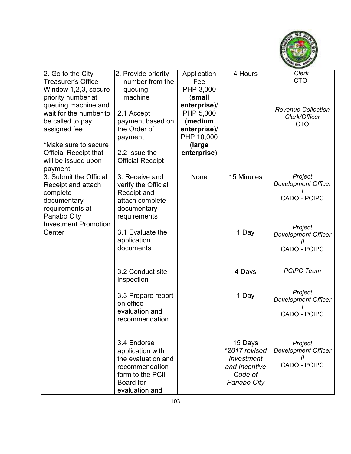

| 2. Go to the City            | 2. Provide priority             | Application  | 4 Hours       | Clerk                                      |
|------------------------------|---------------------------------|--------------|---------------|--------------------------------------------|
| Treasurer's Office -         | number from the                 | Fee          |               | <b>CTO</b>                                 |
| Window 1,2,3, secure         | queuing                         | PHP 3,000    |               |                                            |
| priority number at           | machine                         | (small       |               |                                            |
| queuing machine and          |                                 | enterprise)/ |               |                                            |
| wait for the number to       | 2.1 Accept                      | PHP 5,000    |               | <b>Revenue Collection</b><br>Clerk/Officer |
| be called to pay             | payment based on                | (medium      |               | <b>CTO</b>                                 |
| assigned fee                 | the Order of                    | enterprise)/ |               |                                            |
|                              | payment                         | PHP 10,000   |               |                                            |
| *Make sure to secure         |                                 | (large       |               |                                            |
| <b>Official Receipt that</b> | 2.2 Issue the                   | enterprise)  |               |                                            |
| will be issued upon          | <b>Official Receipt</b>         |              |               |                                            |
| payment                      |                                 |              |               |                                            |
| 3. Submit the Official       | 3. Receive and                  | None         | 15 Minutes    | Project                                    |
| Receipt and attach           | verify the Official             |              |               | <b>Development Officer</b>                 |
| complete                     | Receipt and                     |              |               |                                            |
| documentary                  | attach complete                 |              |               | CADO - PCIPC                               |
| requirements at              | documentary                     |              |               |                                            |
| Panabo City                  | requirements                    |              |               |                                            |
| <b>Investment Promotion</b>  |                                 |              |               | Project                                    |
| Center                       | 3.1 Evaluate the                |              | 1 Day         | <b>Development Officer</b>                 |
|                              | application                     |              |               | $^{\prime\prime}$                          |
|                              | documents                       |              |               | <b>CADO - PCIPC</b>                        |
|                              |                                 |              |               |                                            |
|                              |                                 |              |               | <b>PCIPC Team</b>                          |
|                              | 3.2 Conduct site                |              | 4 Days        |                                            |
|                              | inspection                      |              |               |                                            |
|                              |                                 |              |               | Project                                    |
|                              | 3.3 Prepare report<br>on office |              | 1 Day         | <b>Development Officer</b>                 |
|                              | evaluation and                  |              |               |                                            |
|                              | recommendation                  |              |               | CADO - PCIPC                               |
|                              |                                 |              |               |                                            |
|                              |                                 |              |               |                                            |
|                              | 3.4 Endorse                     |              | 15 Days       | Project                                    |
|                              | application with                |              | *2017 revised | <b>Development Officer</b>                 |
|                              | the evaluation and              |              | Investment    | $\mathcal{H}$                              |
|                              | recommendation                  |              | and Incentive | <b>CADO - PCIPC</b>                        |
|                              | form to the PCII                |              | Code of       |                                            |
|                              | Board for                       |              | Panabo City   |                                            |
|                              | evaluation and                  |              |               |                                            |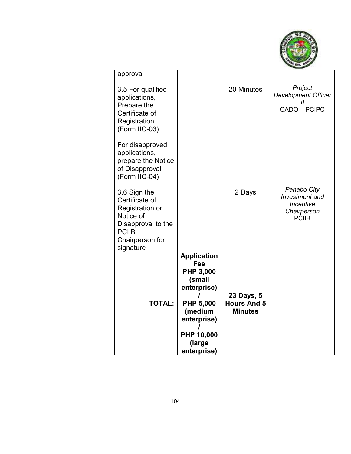

| <b>TOTAL:</b>                                                                                                                        | <b>Application</b><br>Fee<br><b>PHP 3,000</b><br>(small<br>enterprise)<br><b>PHP 5,000</b><br>(medium<br>enterprise)<br>PHP 10,000<br>(large<br>enterprise) | 23 Days, 5<br><b>Hours And 5</b><br><b>Minutes</b> |                                                                           |
|--------------------------------------------------------------------------------------------------------------------------------------|-------------------------------------------------------------------------------------------------------------------------------------------------------------|----------------------------------------------------|---------------------------------------------------------------------------|
| 3.6 Sign the<br>Certificate of<br>Registration or<br>Notice of<br>Disapproval to the<br><b>PCIIB</b><br>Chairperson for<br>signature |                                                                                                                                                             | 2 Days                                             | Panabo City<br>Investment and<br>Incentive<br>Chairperson<br><b>PCIIB</b> |
| For disapproved<br>applications,<br>prepare the Notice<br>of Disapproval<br>(Form IIC-04)                                            |                                                                                                                                                             |                                                    |                                                                           |
| 3.5 For qualified<br>applications,<br>Prepare the<br>Certificate of<br>Registration<br>(Form IIC-03)                                 |                                                                                                                                                             | 20 Minutes                                         | Project<br><b>Development Officer</b><br>$\mathcal{U}$<br>CADO - PCIPC    |
| approval                                                                                                                             |                                                                                                                                                             |                                                    |                                                                           |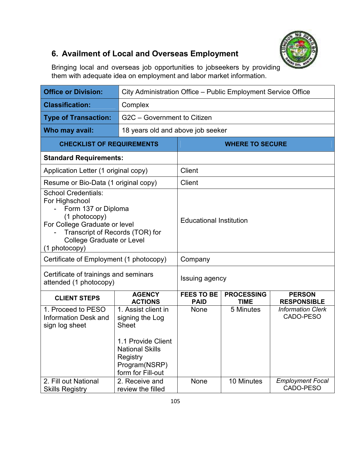

## **6. Availment of Local and Overseas Employment**

Bringing local and overseas job opportunities to jobseekers by providing them with adequate idea on employment and labor market information.

| <b>Office or Division:</b>                                                                                                                                                                                    | City Administration Office - Public Employment Service Office                                                                                            |                                   |                                  |                                       |  |
|---------------------------------------------------------------------------------------------------------------------------------------------------------------------------------------------------------------|----------------------------------------------------------------------------------------------------------------------------------------------------------|-----------------------------------|----------------------------------|---------------------------------------|--|
| <b>Classification:</b>                                                                                                                                                                                        | Complex                                                                                                                                                  |                                   |                                  |                                       |  |
| <b>Type of Transaction:</b>                                                                                                                                                                                   | G2C - Government to Citizen                                                                                                                              |                                   |                                  |                                       |  |
| Who may avail:                                                                                                                                                                                                |                                                                                                                                                          | 18 years old and above job seeker |                                  |                                       |  |
| <b>CHECKLIST OF REQUIREMENTS</b>                                                                                                                                                                              |                                                                                                                                                          |                                   | <b>WHERE TO SECURE</b>           |                                       |  |
| <b>Standard Requirements:</b>                                                                                                                                                                                 |                                                                                                                                                          |                                   |                                  |                                       |  |
| Application Letter (1 original copy)                                                                                                                                                                          |                                                                                                                                                          | Client                            |                                  |                                       |  |
| Resume or Bio-Data (1 original copy)                                                                                                                                                                          |                                                                                                                                                          | Client                            |                                  |                                       |  |
| <b>School Credentials:</b><br>For Highschool<br>Form 137 or Diploma<br>(1 photocopy)<br>For College Graduate or level<br>Transcript of Records (TOR) for<br><b>College Graduate or Level</b><br>(1 photocopy) |                                                                                                                                                          | <b>Educational Institution</b>    |                                  |                                       |  |
| Certificate of Employment (1 photocopy)                                                                                                                                                                       |                                                                                                                                                          | Company                           |                                  |                                       |  |
| Certificate of trainings and seminars<br>attended (1 photocopy)                                                                                                                                               |                                                                                                                                                          | Issuing agency                    |                                  |                                       |  |
| <b>CLIENT STEPS</b>                                                                                                                                                                                           | <b>AGENCY</b><br><b>ACTIONS</b>                                                                                                                          | <b>FEES TO BE</b><br><b>PAID</b>  | <b>PROCESSING</b><br><b>TIME</b> | <b>PERSON</b><br><b>RESPONSIBLE</b>   |  |
| 1. Proceed to PESO<br><b>Information Desk and</b><br>sign log sheet                                                                                                                                           | 1. Assist client in<br>signing the Log<br><b>Sheet</b><br>1.1 Provide Client<br><b>National Skills</b><br>Registry<br>Program(NSRP)<br>form for Fill-out | <b>None</b>                       | 5 Minutes                        | <b>Information Clerk</b><br>CADO-PESO |  |
| 2. Fill out National<br><b>Skills Registry</b>                                                                                                                                                                | 2. Receive and<br>review the filled                                                                                                                      | None                              | 10 Minutes                       | <b>Employment Focal</b><br>CADO-PESO  |  |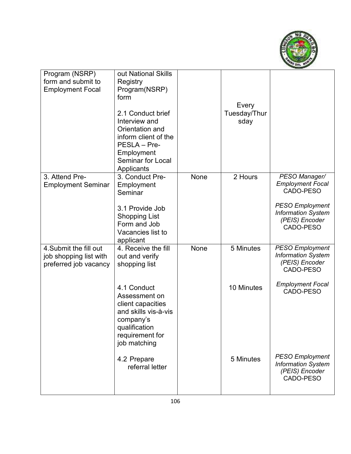

| Program (NSRP)<br>form and submit to<br><b>Employment Focal</b>           | out National Skills<br>Registry<br>Program(NSRP)<br>form<br>2.1 Conduct brief<br>Interview and<br>Orientation and<br>inform client of the<br>PESLA - Pre-<br>Employment<br><b>Seminar for Local</b><br>Applicants |      | Every<br>Tuesday/Thur<br>sday |                                                                                                                                             |
|---------------------------------------------------------------------------|-------------------------------------------------------------------------------------------------------------------------------------------------------------------------------------------------------------------|------|-------------------------------|---------------------------------------------------------------------------------------------------------------------------------------------|
| 3. Attend Pre-<br><b>Employment Seminar</b>                               | 3. Conduct Pre-<br>Employment<br>Seminar<br>3.1 Provide Job<br><b>Shopping List</b><br>Form and Job<br>Vacancies list to<br>applicant                                                                             | None | 2 Hours                       | PESO Manager/<br><b>Employment Focal</b><br>CADO-PESO<br><b>PESO Employment</b><br><b>Information System</b><br>(PEIS) Encoder<br>CADO-PESO |
| 4. Submit the fill out<br>job shopping list with<br>preferred job vacancy | 4. Receive the fill<br>out and verify<br>shopping list                                                                                                                                                            | None | 5 Minutes                     | <b>PESO Employment</b><br><b>Information System</b><br>(PEIS) Encoder<br>CADO-PESO                                                          |
|                                                                           | 4.1 Conduct<br>Assessment on<br>client capacities<br>and skills vis-à-vis<br>company's<br>qualification<br>requirement for<br>job matching                                                                        |      | 10 Minutes                    | <b>Employment Focal</b><br>CADO-PESO                                                                                                        |
|                                                                           | 4.2 Prepare<br>referral letter                                                                                                                                                                                    |      | 5 Minutes                     | <b>PESO Employment</b><br><b>Information System</b><br>(PEIS) Encoder<br>CADO-PESO                                                          |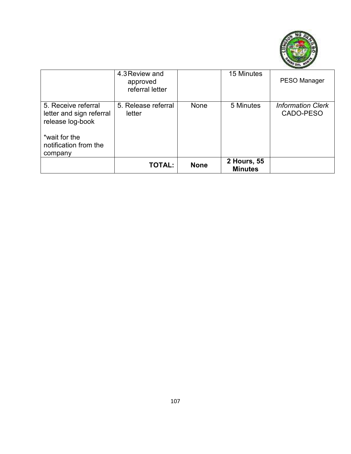

|                                                                                                                          | 4.3 Review and<br>approved<br>referral letter |             | 15 Minutes                    | PESO Manager                          |
|--------------------------------------------------------------------------------------------------------------------------|-----------------------------------------------|-------------|-------------------------------|---------------------------------------|
| 5. Receive referral<br>letter and sign referral<br>release log-book<br>*wait for the<br>notification from the<br>company | 5. Release referral<br>letter                 | None        | 5 Minutes                     | <b>Information Clerk</b><br>CADO-PESO |
|                                                                                                                          | <b>TOTAL:</b>                                 | <b>None</b> | 2 Hours, 55<br><b>Minutes</b> |                                       |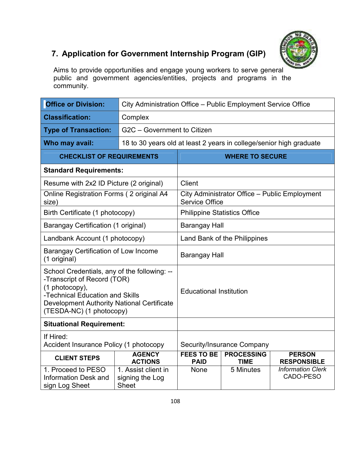

## **7. Application for Government Internship Program (GIP)**

Aims to provide opportunities and engage young workers to serve general public and government agencies/entities, projects and programs in the community.

| <b>Office or Division:</b>                                                                                                                                                                                        | City Administration Office - Public Employment Service Office       |                                                                                                             |                                   |                                               |
|-------------------------------------------------------------------------------------------------------------------------------------------------------------------------------------------------------------------|---------------------------------------------------------------------|-------------------------------------------------------------------------------------------------------------|-----------------------------------|-----------------------------------------------|
| <b>Classification:</b>                                                                                                                                                                                            | Complex                                                             |                                                                                                             |                                   |                                               |
| <b>Type of Transaction:</b>                                                                                                                                                                                       | G2C - Government to Citizen                                         |                                                                                                             |                                   |                                               |
| Who may avail:                                                                                                                                                                                                    | 18 to 30 years old at least 2 years in college/senior high graduate |                                                                                                             |                                   |                                               |
| <b>CHECKLIST OF REQUIREMENTS</b>                                                                                                                                                                                  |                                                                     |                                                                                                             | <b>WHERE TO SECURE</b>            |                                               |
| <b>Standard Requirements:</b>                                                                                                                                                                                     |                                                                     |                                                                                                             |                                   |                                               |
| Resume with 2x2 ID Picture (2 original)                                                                                                                                                                           |                                                                     | Client                                                                                                      |                                   |                                               |
| Online Registration Forms (2 original A4<br>size)                                                                                                                                                                 |                                                                     | <b>Service Office</b>                                                                                       |                                   | City Administrator Office - Public Employment |
| Birth Certificate (1 photocopy)                                                                                                                                                                                   |                                                                     | <b>Philippine Statistics Office</b>                                                                         |                                   |                                               |
| <b>Barangay Certification (1 original)</b>                                                                                                                                                                        |                                                                     | <b>Barangay Hall</b>                                                                                        |                                   |                                               |
| Landbank Account (1 photocopy)                                                                                                                                                                                    |                                                                     | Land Bank of the Philippines                                                                                |                                   |                                               |
| Barangay Certification of Low Income<br>(1 original)                                                                                                                                                              |                                                                     | Barangay Hall                                                                                               |                                   |                                               |
| School Credentials, any of the following: --<br>-Transcript of Record (TOR)<br>(1 photocopy),<br>-Technical Education and Skills<br><b>Development Authority National Certificate</b><br>(TESDA-NC) (1 photocopy) |                                                                     | <b>Educational Institution</b>                                                                              |                                   |                                               |
| <b>Situational Requirement:</b>                                                                                                                                                                                   |                                                                     |                                                                                                             |                                   |                                               |
| If Hired:<br>Accident Insurance Policy (1 photocopy                                                                                                                                                               |                                                                     |                                                                                                             | <b>Security/Insurance Company</b> |                                               |
| <b>CLIENT STEPS</b>                                                                                                                                                                                               | <b>AGENCY</b><br><b>ACTIONS</b>                                     | <b>FEES TO BE</b><br><b>PROCESSING</b><br><b>PERSON</b><br><b>PAID</b><br><b>TIME</b><br><b>RESPONSIBLE</b> |                                   |                                               |
| 1. Proceed to PESO<br><b>Information Desk and</b><br>sign Log Sheet                                                                                                                                               | 1. Assist client in<br>signing the Log<br><b>Sheet</b>              | None                                                                                                        | 5 Minutes                         | <b>Information Clerk</b><br>CADO-PESO         |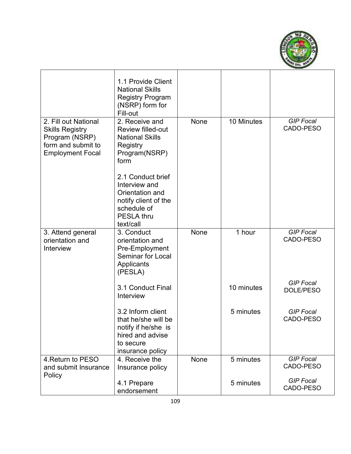

|                                                                                                                   | 1.1 Provide Client<br><b>National Skills</b><br><b>Registry Program</b><br>(NSRP) form for<br>Fill-out                         |             |            |                               |
|-------------------------------------------------------------------------------------------------------------------|--------------------------------------------------------------------------------------------------------------------------------|-------------|------------|-------------------------------|
| 2. Fill out National<br><b>Skills Registry</b><br>Program (NSRP)<br>form and submit to<br><b>Employment Focal</b> | 2. Receive and<br><b>Review filled-out</b><br><b>National Skills</b><br>Registry<br>Program(NSRP)<br>form                      | None        | 10 Minutes | <b>GIP Focal</b><br>CADO-PESO |
|                                                                                                                   | 2.1 Conduct brief<br>Interview and<br>Orientation and<br>notify client of the<br>schedule of<br><b>PESLA thru</b><br>text/call |             |            |                               |
| 3. Attend general<br>orientation and<br>Interview                                                                 | 3. Conduct<br>orientation and<br>Pre-Employment<br><b>Seminar for Local</b><br>Applicants<br>(PESLA)                           | None        | 1 hour     | <b>GIP Focal</b><br>CADO-PESO |
|                                                                                                                   | 3.1 Conduct Final<br>Interview                                                                                                 |             | 10 minutes | <b>GIP Focal</b><br>DOLE/PESO |
|                                                                                                                   | 3.2 Inform client<br>that he/she will be<br>notify if he/she is<br>hired and advise<br>to secure<br>insurance policy           |             | 5 minutes  | <b>GIP Focal</b><br>CADO-PESO |
| 4. Return to PESO<br>and submit Insurance                                                                         | 4. Receive the<br>Insurance policy                                                                                             | <b>None</b> | 5 minutes  | <b>GIP Focal</b><br>CADO-PESO |
| Policy                                                                                                            | 4.1 Prepare<br>endorsement                                                                                                     |             | 5 minutes  | <b>GIP Focal</b><br>CADO-PESO |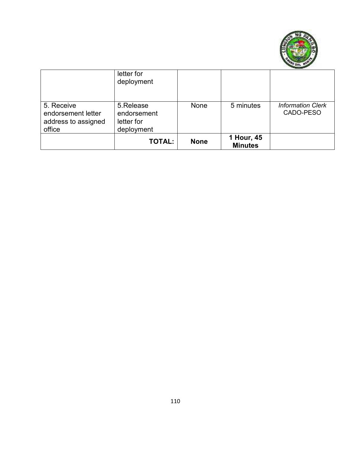

|                                                                   | letter for<br>deployment                             |             |                              |                                       |
|-------------------------------------------------------------------|------------------------------------------------------|-------------|------------------------------|---------------------------------------|
| 5. Receive<br>endorsement letter<br>address to assigned<br>office | 5.Release<br>endorsement<br>letter for<br>deployment | None        | 5 minutes                    | <b>Information Clerk</b><br>CADO-PESO |
|                                                                   | <b>TOTAL:</b>                                        | <b>None</b> | 1 Hour, 45<br><b>Minutes</b> |                                       |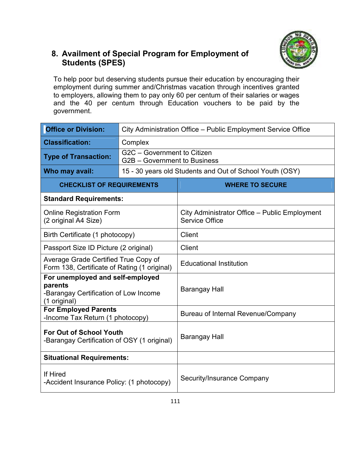

#### **8. Availment of Special Program for Employment of Students (SPES)**

To help poor but deserving students pursue their education by encouraging their employment during summer and/Christmas vacation through incentives granted to employers, allowing them to pay only 60 per centum of their salaries or wages and the 40 per centum through Education vouchers to be paid by the government.

| <b>Office or Division:</b>                                                                           |                                                             | City Administration Office - Public Employment Service Office          |  |  |  |
|------------------------------------------------------------------------------------------------------|-------------------------------------------------------------|------------------------------------------------------------------------|--|--|--|
| <b>Classification:</b>                                                                               | Complex                                                     |                                                                        |  |  |  |
| <b>Type of Transaction:</b>                                                                          | G2C - Government to Citizen<br>G2B - Government to Business |                                                                        |  |  |  |
| Who may avail:                                                                                       |                                                             | 15 - 30 years old Students and Out of School Youth (OSY)               |  |  |  |
| <b>CHECKLIST OF REQUIREMENTS</b>                                                                     |                                                             | <b>WHERE TO SECURE</b>                                                 |  |  |  |
| <b>Standard Requirements:</b>                                                                        |                                                             |                                                                        |  |  |  |
| <b>Online Registration Form</b><br>(2 original A4 Size)                                              |                                                             | City Administrator Office - Public Employment<br><b>Service Office</b> |  |  |  |
| Birth Certificate (1 photocopy)                                                                      |                                                             | Client                                                                 |  |  |  |
| Passport Size ID Picture (2 original)                                                                |                                                             | <b>Client</b>                                                          |  |  |  |
| Average Grade Certified True Copy of<br>Form 138, Certificate of Rating (1 original)                 |                                                             | <b>Educational Institution</b>                                         |  |  |  |
| For unemployed and self-employed<br>parents<br>-Barangay Certification of Low Income<br>(1 original) |                                                             | <b>Barangay Hall</b>                                                   |  |  |  |
| <b>For Employed Parents</b><br>-Income Tax Return (1 photocopy)                                      |                                                             | Bureau of Internal Revenue/Company                                     |  |  |  |
| <b>For Out of School Youth</b><br>-Barangay Certification of OSY (1 original)                        |                                                             | <b>Barangay Hall</b>                                                   |  |  |  |
| <b>Situational Requirements:</b>                                                                     |                                                             |                                                                        |  |  |  |
| If Hired<br>-Accident Insurance Policy: (1 photocopy)                                                |                                                             | <b>Security/Insurance Company</b>                                      |  |  |  |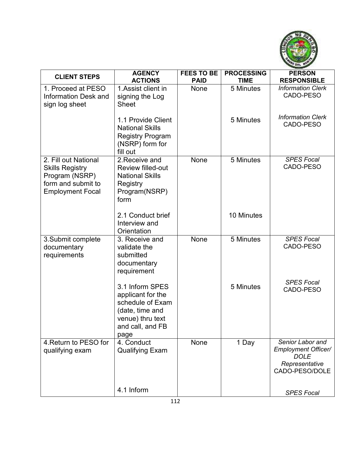

| <b>CLIENT STEPS</b>                      | <b>AGENCY</b>                       | <b>FEES TO BE</b> | <b>PROCESSING</b> | <b>PERSON</b>                             |
|------------------------------------------|-------------------------------------|-------------------|-------------------|-------------------------------------------|
|                                          | <b>ACTIONS</b>                      | <b>PAID</b>       | <b>TIME</b>       | <b>RESPONSIBLE</b>                        |
| 1. Proceed at PESO                       | 1. Assist client in                 | None              | 5 Minutes         | <b>Information Clerk</b>                  |
| <b>Information Desk and</b>              | signing the Log                     |                   |                   | CADO-PESO                                 |
| sign log sheet                           | <b>Sheet</b>                        |                   |                   |                                           |
|                                          | 1.1 Provide Client                  |                   | 5 Minutes         | <b>Information Clerk</b>                  |
|                                          | <b>National Skills</b>              |                   |                   | CADO-PESO                                 |
|                                          | <b>Registry Program</b>             |                   |                   |                                           |
|                                          | (NSRP) form for                     |                   |                   |                                           |
|                                          | fill out                            |                   |                   |                                           |
| 2. Fill out National                     | 2. Receive and<br>Review filled-out | None              | 5 Minutes         | <b>SPES Focal</b><br>CADO-PESO            |
| <b>Skills Registry</b><br>Program (NSRP) | <b>National Skills</b>              |                   |                   |                                           |
| form and submit to                       | Registry                            |                   |                   |                                           |
| <b>Employment Focal</b>                  | Program(NSRP)                       |                   |                   |                                           |
|                                          | form                                |                   |                   |                                           |
|                                          |                                     |                   |                   |                                           |
|                                          | 2.1 Conduct brief<br>Interview and  |                   | 10 Minutes        |                                           |
|                                          | Orientation                         |                   |                   |                                           |
| 3. Submit complete                       | 3. Receive and                      | None              | 5 Minutes         | <b>SPES Focal</b>                         |
| documentary                              | validate the                        |                   |                   | CADO-PESO                                 |
| requirements                             | submitted                           |                   |                   |                                           |
|                                          | documentary<br>requirement          |                   |                   |                                           |
|                                          |                                     |                   |                   |                                           |
|                                          | 3.1 Inform SPES                     |                   | 5 Minutes         | <b>SPES Focal</b><br>CADO-PESO            |
|                                          | applicant for the                   |                   |                   |                                           |
|                                          | schedule of Exam                    |                   |                   |                                           |
|                                          | (date, time and<br>venue) thru text |                   |                   |                                           |
|                                          | and call, and FB                    |                   |                   |                                           |
|                                          | page                                |                   |                   |                                           |
| 4. Return to PESO for                    | 4. Conduct                          | None              | 1 Day             | Senior Labor and                          |
| qualifying exam                          | <b>Qualifying Exam</b>              |                   |                   | <b>Employment Officer/</b><br><b>DOLE</b> |
|                                          |                                     |                   |                   | Representative                            |
|                                          |                                     |                   |                   | CADO-PESO/DOLE                            |
|                                          |                                     |                   |                   |                                           |
|                                          | 4.1 Inform                          |                   |                   | <b>SPES Focal</b>                         |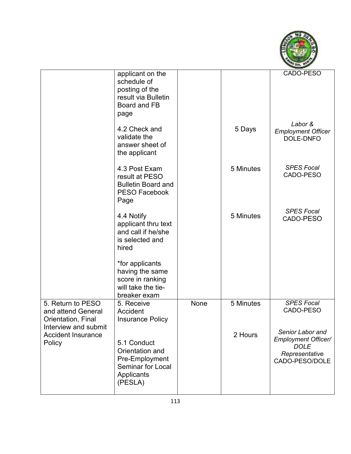

|                                                                                       | applicant on the<br>schedule of<br>posting of the<br>result via Bulletin<br>Board and FB<br>page      |      |           | CADO-PESO                                                                                         |
|---------------------------------------------------------------------------------------|-------------------------------------------------------------------------------------------------------|------|-----------|---------------------------------------------------------------------------------------------------|
|                                                                                       | 4.2 Check and<br>validate the<br>answer sheet of<br>the applicant                                     |      | 5 Days    | Labor &<br><b>Employment Officer</b><br>DOLE-DNFO                                                 |
|                                                                                       | 4.3 Post Exam<br>result at PESO<br><b>Bulletin Board and</b><br><b>PESO Facebook</b><br>Page          |      | 5 Minutes | <b>SPES Focal</b><br>CADO-PESO                                                                    |
|                                                                                       | 4.4 Notify<br>applicant thru text<br>and call if he/she<br>is selected and<br>hired                   |      | 5 Minutes | <b>SPES Focal</b><br>CADO-PESO                                                                    |
|                                                                                       | *for applicants<br>having the same<br>score in ranking<br>will take the tie-<br>breaker exam          |      |           |                                                                                                   |
| 5. Return to PESO<br>and attend General<br>Orientation, Final<br>Interview and submit | 5. Receive<br>Accident<br><b>Insurance Policy</b>                                                     | None | 5 Minutes | <b>SPES Focal</b><br>CADO-PESO                                                                    |
| <b>Accident Insurance</b><br>Policy                                                   | 5.1 Conduct<br>Orientation and<br>Pre-Employment<br><b>Seminar for Local</b><br>Applicants<br>(PESLA) |      | 2 Hours   | Senior Labor and<br><b>Employment Officer/</b><br><b>DOLE</b><br>Representative<br>CADO-PESO/DOLE |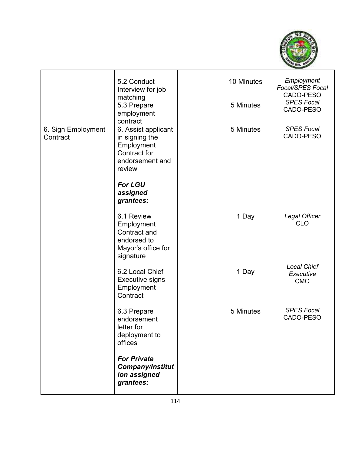

|                                | 5.2 Conduct<br>Interview for job<br>matching<br>5.3 Prepare<br>employment<br>contract                                                | 10 Minutes<br>5 Minutes | Employment<br>Focal/SPES Focal<br>CADO-PESO<br><b>SPES Focal</b><br>CADO-PESO |
|--------------------------------|--------------------------------------------------------------------------------------------------------------------------------------|-------------------------|-------------------------------------------------------------------------------|
| 6. Sign Employment<br>Contract | 6. Assist applicant<br>in signing the<br>Employment<br>Contract for<br>endorsement and<br>review<br>For LGU<br>assigned<br>grantees: | 5 Minutes               | <b>SPES Focal</b><br>CADO-PESO                                                |
|                                | 6.1 Review<br>Employment<br>Contract and<br>endorsed to<br>Mayor's office for<br>signature                                           | 1 Day                   | Legal Officer<br><b>CLO</b>                                                   |
|                                | 6.2 Local Chief<br><b>Executive signs</b><br>Employment<br>Contract                                                                  | 1 Day                   | <b>Local Chief</b><br>Executive<br><b>CMO</b>                                 |
|                                | 6.3 Prepare<br>endorsement<br>letter for<br>deployment to<br>offices                                                                 | 5 Minutes               | <b>SPES Focal</b><br>CADO-PESO                                                |
|                                | <b>For Private</b><br><b>Company/Institut</b><br>ion assigned<br>grantees:                                                           |                         |                                                                               |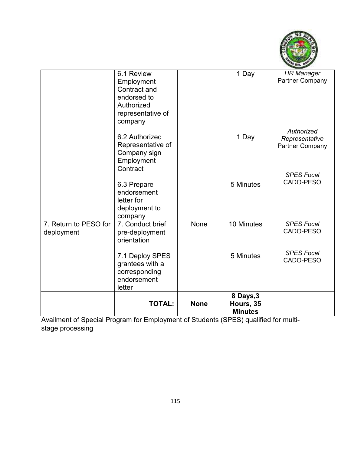

|                                     | 6.1 Review<br>Employment<br>Contract and<br>endorsed to<br>Authorized<br>representative of<br>company |             | 1 Day                                    | <b>HR Manager</b><br><b>Partner Company</b>            |
|-------------------------------------|-------------------------------------------------------------------------------------------------------|-------------|------------------------------------------|--------------------------------------------------------|
|                                     | 6.2 Authorized<br>Representative of<br>Company sign<br>Employment<br>Contract                         |             | 1 Day                                    | Authorized<br>Representative<br><b>Partner Company</b> |
|                                     | 6.3 Prepare<br>endorsement<br>letter for<br>deployment to<br>company                                  |             | 5 Minutes                                | <b>SPES Focal</b><br>CADO-PESO                         |
| 7. Return to PESO for<br>deployment | 7. Conduct brief<br>pre-deployment<br>orientation                                                     | None        | 10 Minutes                               | <b>SPES Focal</b><br>CADO-PESO                         |
|                                     | 7.1 Deploy SPES<br>grantees with a<br>corresponding<br>endorsement<br>letter                          |             | 5 Minutes                                | <b>SPES Focal</b><br>CADO-PESO                         |
|                                     | <b>TOTAL:</b>                                                                                         | <b>None</b> | 8 Days, 3<br>Hours, 35<br><b>Minutes</b> |                                                        |

Availment of Special Program for Employment of Students (SPES) qualified for multistage processing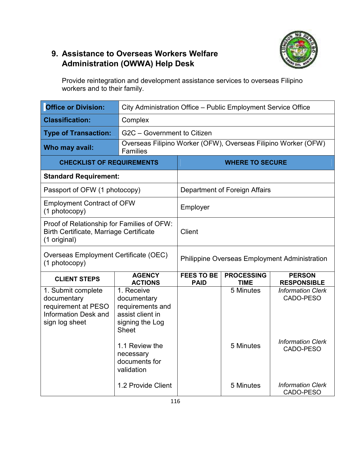## **9. Assistance to Overseas Workers Welfare Administration (OWWA) Help Desk**



Provide reintegration and development assistance services to overseas Filipino workers and to their family.

| <b>Office or Division:</b>                                                                                   | City Administration Office - Public Employment Service Office                                        |                                                      |                                  |                                                                |
|--------------------------------------------------------------------------------------------------------------|------------------------------------------------------------------------------------------------------|------------------------------------------------------|----------------------------------|----------------------------------------------------------------|
| <b>Classification:</b>                                                                                       | Complex                                                                                              |                                                      |                                  |                                                                |
| <b>Type of Transaction:</b>                                                                                  | G2C - Government to Citizen                                                                          |                                                      |                                  |                                                                |
| Who may avail:                                                                                               | <b>Families</b>                                                                                      |                                                      |                                  | Overseas Filipino Worker (OFW), Overseas Filipino Worker (OFW) |
| <b>CHECKLIST OF REQUIREMENTS</b>                                                                             |                                                                                                      |                                                      | <b>WHERE TO SECURE</b>           |                                                                |
| <b>Standard Requirement:</b>                                                                                 |                                                                                                      |                                                      |                                  |                                                                |
| Passport of OFW (1 photocopy)                                                                                |                                                                                                      |                                                      | Department of Foreign Affairs    |                                                                |
| <b>Employment Contract of OFW</b><br>(1 photocopy)                                                           |                                                                                                      | Employer                                             |                                  |                                                                |
| Proof of Relationship for Families of OFW:<br><b>Birth Certificate, Marriage Certificate</b><br>(1 original) |                                                                                                      | Client                                               |                                  |                                                                |
| Overseas Employment Certificate (OEC)<br>(1 photocopy)                                                       |                                                                                                      | <b>Philippine Overseas Employment Administration</b> |                                  |                                                                |
| <b>CLIENT STEPS</b>                                                                                          | <b>AGENCY</b><br><b>ACTIONS</b>                                                                      | <b>FEES TO BE</b><br><b>PAID</b>                     | <b>PROCESSING</b><br><b>TIME</b> | <b>PERSON</b><br><b>RESPONSIBLE</b>                            |
| 1. Submit complete<br>documentary<br>requirement at PESO<br><b>Information Desk and</b><br>sign log sheet    | 1. Receive<br>documentary<br>requirements and<br>assist client in<br>signing the Log<br><b>Sheet</b> |                                                      | 5 Minutes                        | <b>Information Clerk</b><br>CADO-PESO                          |
|                                                                                                              | 1.1 Review the<br>necessary<br>documents for<br>validation                                           |                                                      | 5 Minutes                        | <b>Information Clerk</b><br>CADO-PESO                          |
|                                                                                                              | 1.2 Provide Client                                                                                   |                                                      | 5 Minutes                        | <b>Information Clerk</b><br>CADO-PESO                          |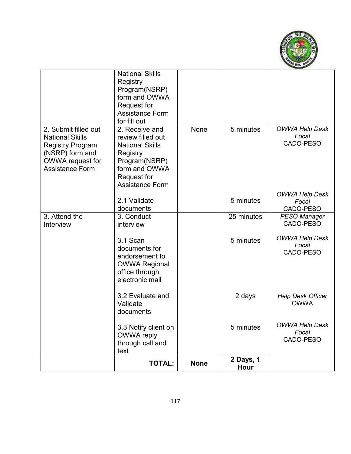

|                                                                                                                                            | <b>National Skills</b><br>Registry<br>Program(NSRP)<br>form and OWWA<br>Request for                                                                  |             |                   |                                             |
|--------------------------------------------------------------------------------------------------------------------------------------------|------------------------------------------------------------------------------------------------------------------------------------------------------|-------------|-------------------|---------------------------------------------|
|                                                                                                                                            | <b>Assistance Form</b><br>for fill out                                                                                                               |             |                   |                                             |
| 2. Submit filled out<br><b>National Skills</b><br><b>Registry Program</b><br>(NSRP) form and<br>OWWA request for<br><b>Assistance Form</b> | 2. Receive and<br>review filled out<br><b>National Skills</b><br>Registry<br>Program(NSRP)<br>form and OWWA<br>Request for<br><b>Assistance Form</b> | None        | 5 minutes         | <b>OWWA Help Desk</b><br>Focal<br>CADO-PESO |
|                                                                                                                                            | 2.1 Validate<br>documents                                                                                                                            |             | 5 minutes         | OWWA Help Desk<br>Focal<br>CADO-PESO        |
| 3. Attend the<br>Interview                                                                                                                 | 3. Conduct<br>interview                                                                                                                              |             | 25 minutes        | <b>PESO Manager</b><br>CADO-PESO            |
|                                                                                                                                            | 3.1 Scan<br>documents for<br>endorsement to<br><b>OWWA Regional</b><br>office through<br>electronic mail                                             |             | 5 minutes         | <b>OWWA Help Desk</b><br>Focal<br>CADO-PESO |
|                                                                                                                                            | 3.2 Evaluate and<br>Validate<br>documents                                                                                                            |             | 2 days            | <b>Help Desk Officer</b><br><b>OWWA</b>     |
|                                                                                                                                            | 3.3 Notify client on<br><b>OWWA</b> reply<br>through call and<br>text                                                                                |             | 5 minutes         | <b>OWWA Help Desk</b><br>Focal<br>CADO-PESO |
|                                                                                                                                            | <b>TOTAL:</b>                                                                                                                                        | <b>None</b> | 2 Days, 1<br>Hour |                                             |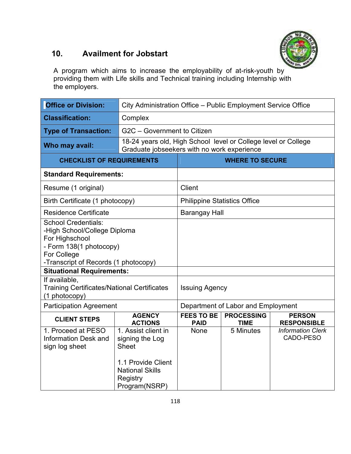

## **10. Availment for Jobstart**

A program which aims to increase the employability of at-risk-youth by providing them with Life skills and Technical training including Internship with the employers.

| <b>Office or Division:</b>                                                                                                                                     |                                                                                                                                     | City Administration Office - Public Employment Service Office |                                    |                                       |  |
|----------------------------------------------------------------------------------------------------------------------------------------------------------------|-------------------------------------------------------------------------------------------------------------------------------------|---------------------------------------------------------------|------------------------------------|---------------------------------------|--|
| <b>Classification:</b>                                                                                                                                         | Complex                                                                                                                             |                                                               |                                    |                                       |  |
| <b>Type of Transaction:</b>                                                                                                                                    | G2C - Government to Citizen                                                                                                         |                                                               |                                    |                                       |  |
| Who may avail:                                                                                                                                                 | 18-24 years old, High School level or College level or College<br>Graduate jobseekers with no work experience                       |                                                               |                                    |                                       |  |
| <b>CHECKLIST OF REQUIREMENTS</b>                                                                                                                               |                                                                                                                                     |                                                               | <b>WHERE TO SECURE</b>             |                                       |  |
| <b>Standard Requirements:</b>                                                                                                                                  |                                                                                                                                     |                                                               |                                    |                                       |  |
| Resume (1 original)                                                                                                                                            |                                                                                                                                     | <b>Client</b>                                                 |                                    |                                       |  |
| Birth Certificate (1 photocopy)                                                                                                                                |                                                                                                                                     | <b>Philippine Statistics Office</b>                           |                                    |                                       |  |
| <b>Residence Certificate</b>                                                                                                                                   |                                                                                                                                     | <b>Barangay Hall</b>                                          |                                    |                                       |  |
| <b>School Credentials:</b><br>-High School/College Diploma<br>For Highschool<br>- Form 138(1 photocopy)<br>For College<br>-Transcript of Records (1 photocopy) |                                                                                                                                     |                                                               |                                    |                                       |  |
| <b>Situational Requirements:</b>                                                                                                                               |                                                                                                                                     |                                                               |                                    |                                       |  |
| If available,<br><b>Training Certificates/National Certificates</b><br>(1 photocopy)                                                                           |                                                                                                                                     | <b>Issuing Agency</b>                                         |                                    |                                       |  |
| <b>Participation Agreement</b>                                                                                                                                 |                                                                                                                                     |                                                               | Department of Labor and Employment |                                       |  |
| <b>CLIENT STEPS</b>                                                                                                                                            | <b>AGENCY</b><br><b>ACTIONS</b>                                                                                                     | <b>FEES TO BE</b><br><b>PAID</b>                              | <b>PROCESSING</b><br><b>TIME</b>   | <b>PERSON</b><br><b>RESPONSIBLE</b>   |  |
| 1. Proceed at PESO<br><b>Information Desk and</b><br>sign log sheet                                                                                            | 1. Assist client in<br>signing the Log<br><b>Sheet</b><br>1.1 Provide Client<br><b>National Skills</b><br>Registry<br>Program(NSRP) | None                                                          | 5 Minutes                          | <b>Information Clerk</b><br>CADO-PESO |  |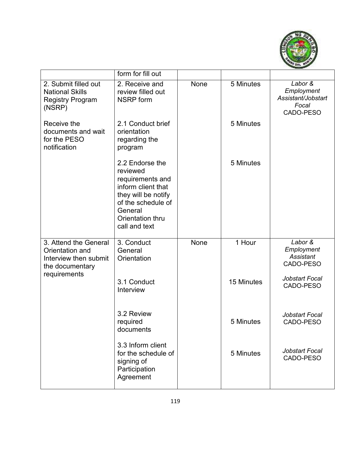

|                                                                                      | form for fill out                                                                                                                                                  |      |            |                                                                   |
|--------------------------------------------------------------------------------------|--------------------------------------------------------------------------------------------------------------------------------------------------------------------|------|------------|-------------------------------------------------------------------|
| 2. Submit filled out<br><b>National Skills</b><br><b>Registry Program</b><br>(NSRP)  | 2. Receive and<br>review filled out<br><b>NSRP</b> form                                                                                                            | None | 5 Minutes  | Labor &<br>Employment<br>Assistant/Jobstart<br>Focal<br>CADO-PESO |
| Receive the<br>documents and wait<br>for the PESO<br>notification                    | 2.1 Conduct brief<br>orientation<br>regarding the<br>program                                                                                                       |      | 5 Minutes  |                                                                   |
|                                                                                      | 2.2 Endorse the<br>reviewed<br>requirements and<br>inform client that<br>they will be notify<br>of the schedule of<br>General<br>Orientation thru<br>call and text |      | 5 Minutes  |                                                                   |
| 3. Attend the General<br>Orientation and<br>Interview then submit<br>the documentary | 3. Conduct<br>General<br>Orientation                                                                                                                               | None | 1 Hour     | Labor &<br>Employment<br>Assistant<br>CADO-PESO                   |
| requirements                                                                         | 3.1 Conduct<br>Interview                                                                                                                                           |      | 15 Minutes | Jobstart Focal<br>CADO-PESO                                       |
|                                                                                      | 3.2 Review<br>required<br>documents                                                                                                                                |      | 5 Minutes  | Jobstart Focal<br>CADO-PESO                                       |
|                                                                                      | 3.3 Inform client<br>for the schedule of<br>signing of<br>Participation<br>Agreement                                                                               |      | 5 Minutes  | Jobstart Focal<br>CADO-PESO                                       |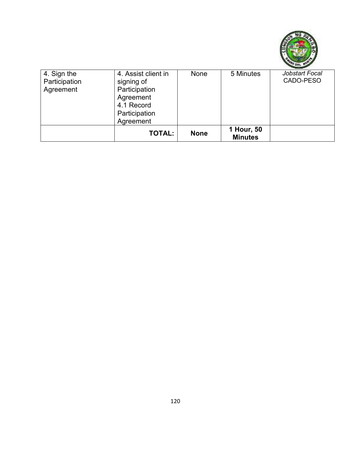

| 4. Sign the   | 4. Assist client in | None        | 5 Minutes      | Jobstart Focal |
|---------------|---------------------|-------------|----------------|----------------|
| Participation | signing of          |             |                | CADO-PESO      |
| Agreement     | Participation       |             |                |                |
|               | Agreement           |             |                |                |
|               | 4.1 Record          |             |                |                |
|               | Participation       |             |                |                |
|               | Agreement           |             |                |                |
|               | <b>TOTAL:</b>       | <b>None</b> | 1 Hour, 50     |                |
|               |                     |             | <b>Minutes</b> |                |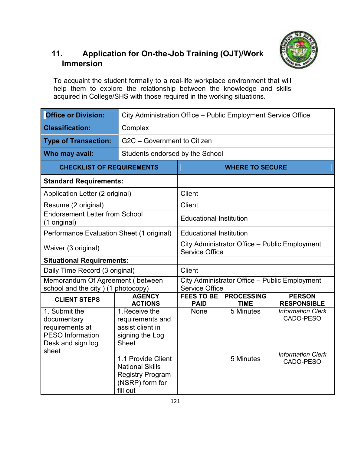

## **11. Application for On-the-Job Training (OJT)/Work Immersion**

To acquaint the student formally to a real-life workplace environment that will help them to explore the relationship between the knowledge and skills acquired in College/SHS with those required in the working situations.

| <b>Office or Division:</b>                                                                      | City Administration Office - Public Employment Service Office                                          |                                                                        |                        |                                       |  |
|-------------------------------------------------------------------------------------------------|--------------------------------------------------------------------------------------------------------|------------------------------------------------------------------------|------------------------|---------------------------------------|--|
| <b>Classification:</b>                                                                          | Complex                                                                                                |                                                                        |                        |                                       |  |
| <b>Type of Transaction:</b>                                                                     | G2C - Government to Citizen                                                                            |                                                                        |                        |                                       |  |
| Who may avail:                                                                                  |                                                                                                        | Students endorsed by the School                                        |                        |                                       |  |
| <b>CHECKLIST OF REQUIREMENTS</b>                                                                |                                                                                                        |                                                                        | <b>WHERE TO SECURE</b> |                                       |  |
| <b>Standard Requirements:</b>                                                                   |                                                                                                        |                                                                        |                        |                                       |  |
| Application Letter (2 original)                                                                 |                                                                                                        | <b>Client</b>                                                          |                        |                                       |  |
| Resume (2 original)                                                                             |                                                                                                        | Client                                                                 |                        |                                       |  |
| <b>Endorsement Letter from School</b><br>(1 original)                                           |                                                                                                        | <b>Educational Institution</b>                                         |                        |                                       |  |
| Performance Evaluation Sheet (1 original)                                                       |                                                                                                        | <b>Educational Institution</b>                                         |                        |                                       |  |
| Waiver (3 original)                                                                             |                                                                                                        | City Administrator Office - Public Employment<br><b>Service Office</b> |                        |                                       |  |
| <b>Situational Requirements:</b>                                                                |                                                                                                        |                                                                        |                        |                                       |  |
| Daily Time Record (3 original)                                                                  |                                                                                                        | <b>Client</b>                                                          |                        |                                       |  |
| Memorandum Of Agreement (between<br>school and the city) (1 photocopy)                          |                                                                                                        | City Administrator Office - Public Employment<br><b>Service Office</b> |                        |                                       |  |
| <b>CLIENT STEPS</b>                                                                             | <b>AGENCY</b>                                                                                          | <b>FEES TO BE</b>                                                      | <b>PROCESSING</b>      | <b>PERSON</b>                         |  |
|                                                                                                 | <b>ACTIONS</b>                                                                                         | <b>PAID</b>                                                            | <b>TIME</b>            | <b>RESPONSIBLE</b>                    |  |
| 1. Submit the<br>documentary<br>requirements at<br><b>PESO Information</b><br>Desk and sign log | 1. Receive the<br>requirements and<br>assist client in<br>signing the Log<br><b>Sheet</b>              | None                                                                   | 5 Minutes              | <b>Information Clerk</b><br>CADO-PESO |  |
| sheet                                                                                           | 1.1 Provide Client<br><b>National Skills</b><br><b>Registry Program</b><br>(NSRP) form for<br>fill out |                                                                        | 5 Minutes              | <b>Information Clerk</b><br>CADO-PESO |  |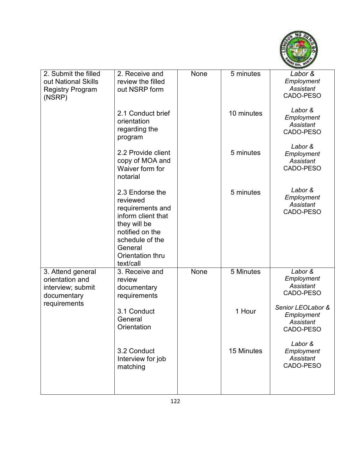

| 2. Submit the filled<br>out National Skills                              | 2. Receive and<br>review the filled                                                                                                                                     | None | 5 minutes  | Labor &<br>Employment                                     |
|--------------------------------------------------------------------------|-------------------------------------------------------------------------------------------------------------------------------------------------------------------------|------|------------|-----------------------------------------------------------|
| <b>Registry Program</b><br>(NSRP)                                        | out NSRP form                                                                                                                                                           |      |            | Assistant<br>CADO-PESO                                    |
|                                                                          | 2.1 Conduct brief<br>orientation<br>regarding the<br>program                                                                                                            |      | 10 minutes | Labor &<br>Employment<br><b>Assistant</b><br>CADO-PESO    |
|                                                                          | 2.2 Provide client<br>copy of MOA and<br>Waiver form for<br>notarial                                                                                                    |      | 5 minutes  | Labor &<br>Employment<br>Assistant<br>CADO-PESO           |
|                                                                          | 2.3 Endorse the<br>reviewed<br>requirements and<br>inform client that<br>they will be<br>notified on the<br>schedule of the<br>General<br>Orientation thru<br>text/call |      | 5 minutes  | Labor &<br>Employment<br><b>Assistant</b><br>CADO-PESO    |
| 3. Attend general<br>orientation and<br>interview; submit<br>documentary | 3. Receive and<br>review<br>documentary<br>requirements                                                                                                                 | None | 5 Minutes  | Labor &<br>Employment<br>Assistant<br>CADO-PESO           |
| requirements                                                             | 3.1 Conduct<br>General<br>Orientation                                                                                                                                   |      | 1 Hour     | Senior LEOLabor &<br>Employment<br>Assistant<br>CADO-PESO |
|                                                                          | 3.2 Conduct<br>Interview for job<br>matching                                                                                                                            |      | 15 Minutes | Labor &<br>Employment<br>Assistant<br>CADO-PESO           |
|                                                                          |                                                                                                                                                                         |      |            |                                                           |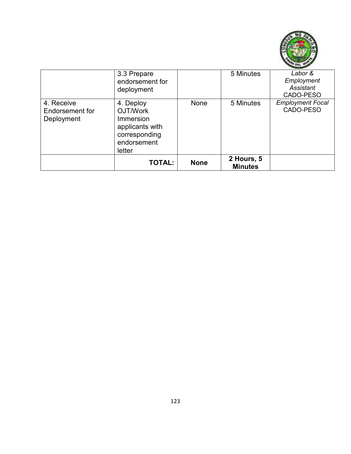

|                                             | <b>TOTAL:</b>                                                                                                 | <b>None</b> | 2 Hours, 5<br><b>Minutes</b> |                                                                |
|---------------------------------------------|---------------------------------------------------------------------------------------------------------------|-------------|------------------------------|----------------------------------------------------------------|
| 4. Receive<br>Endorsement for<br>Deployment | deployment<br>4. Deploy<br>OJT/Work<br>Immersion<br>applicants with<br>corresponding<br>endorsement<br>letter | None        | 5 Minutes                    | Assistant<br>CADO-PESO<br><b>Employment Focal</b><br>CADO-PESO |
|                                             | 3.3 Prepare<br>endorsement for                                                                                |             | 5 Minutes                    | Labor &<br>Employment                                          |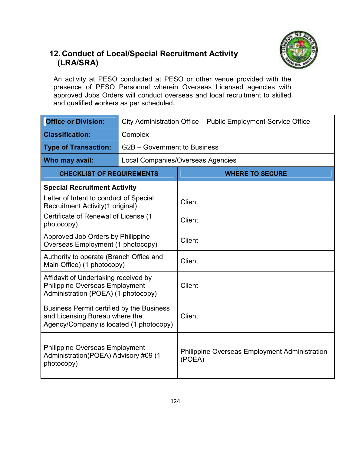

## **12. Conduct of Local/Special Recruitment Activity (LRA/SRA)**

An activity at PESO conducted at PESO or other venue provided with the presence of PESO Personnel wherein Overseas Licensed agencies with approved Jobs Orders will conduct overseas and local recruitment to skilled and qualified workers as per scheduled.

| <b>Office or Division:</b>                                                                                                    | City Administration Office - Public Employment Service Office |                                                                |  |  |
|-------------------------------------------------------------------------------------------------------------------------------|---------------------------------------------------------------|----------------------------------------------------------------|--|--|
| <b>Classification:</b>                                                                                                        | Complex                                                       |                                                                |  |  |
| <b>Type of Transaction:</b>                                                                                                   | G2B - Government to Business                                  |                                                                |  |  |
| Who may avail:                                                                                                                |                                                               | Local Companies/Overseas Agencies                              |  |  |
| <b>CHECKLIST OF REQUIREMENTS</b>                                                                                              |                                                               | <b>WHERE TO SECURE</b>                                         |  |  |
| <b>Special Recruitment Activity</b>                                                                                           |                                                               |                                                                |  |  |
| Letter of Intent to conduct of Special<br>Recruitment Activity (1 original)                                                   |                                                               | Client                                                         |  |  |
| Certificate of Renewal of License (1<br>photocopy)                                                                            |                                                               | <b>Client</b>                                                  |  |  |
| Approved Job Orders by Philippine<br>Overseas Employment (1 photocopy)                                                        |                                                               | <b>Client</b>                                                  |  |  |
| Authority to operate (Branch Office and<br>Main Office) (1 photocopy)                                                         |                                                               | Client                                                         |  |  |
| Affidavit of Undertaking received by<br><b>Philippine Overseas Employment</b><br>Administration (POEA) (1 photocopy)          |                                                               | <b>Client</b>                                                  |  |  |
| <b>Business Permit certified by the Business</b><br>and Licensing Bureau where the<br>Agency/Company is located (1 photocopy) |                                                               | <b>Client</b>                                                  |  |  |
| <b>Philippine Overseas Employment</b><br>Administration(POEA) Advisory #09 (1<br>photocopy)                                   |                                                               | <b>Philippine Overseas Employment Administration</b><br>(POEA) |  |  |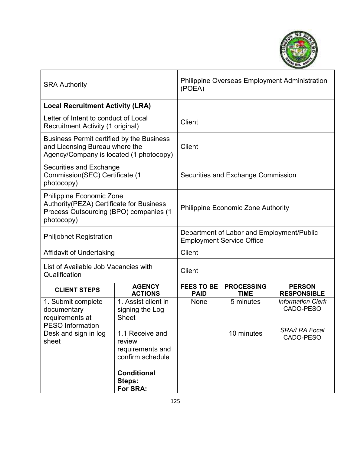

| <b>SRA Authority</b>                                                                                                                |                                                                   | (POEA)                             |                                                                               | <b>Philippine Overseas Employment Administration</b> |  |
|-------------------------------------------------------------------------------------------------------------------------------------|-------------------------------------------------------------------|------------------------------------|-------------------------------------------------------------------------------|------------------------------------------------------|--|
| <b>Local Recruitment Activity (LRA)</b>                                                                                             |                                                                   |                                    |                                                                               |                                                      |  |
| Letter of Intent to conduct of Local<br>Recruitment Activity (1 original)                                                           |                                                                   | Client                             |                                                                               |                                                      |  |
| <b>Business Permit certified by the Business</b><br>and Licensing Bureau where the<br>Agency/Company is located (1 photocopy)       |                                                                   | Client                             |                                                                               |                                                      |  |
| Securities and Exchange<br>Commission(SEC) Certificate (1<br>photocopy)                                                             |                                                                   | Securities and Exchange Commission |                                                                               |                                                      |  |
| <b>Philippine Economic Zone</b><br>Authority(PEZA) Certificate for Business<br>Process Outsourcing (BPO) companies (1<br>photocopy) |                                                                   |                                    | <b>Philippine Economic Zone Authority</b>                                     |                                                      |  |
| <b>Philjobnet Registration</b>                                                                                                      |                                                                   |                                    | Department of Labor and Employment/Public<br><b>Employment Service Office</b> |                                                      |  |
| Affidavit of Undertaking                                                                                                            |                                                                   | <b>Client</b>                      |                                                                               |                                                      |  |
| List of Available Job Vacancies with<br>Qualification                                                                               |                                                                   | Client                             |                                                                               |                                                      |  |
| <b>CLIENT STEPS</b>                                                                                                                 | <b>AGENCY</b><br><b>ACTIONS</b>                                   | <b>FEES TO BE</b><br><b>PAID</b>   | <b>PROCESSING</b><br><b>TIME</b>                                              | <b>PERSON</b><br><b>RESPONSIBLE</b>                  |  |
| 1. Submit complete<br>documentary<br>requirements at                                                                                | 1. Assist client in<br>signing the Log<br><b>Sheet</b>            | None                               | 5 minutes                                                                     | <b>Information Clerk</b><br>CADO-PESO                |  |
| <b>PESO Information</b><br>Desk and sign in log<br>sheet                                                                            | 1.1 Receive and<br>review<br>requirements and<br>confirm schedule |                                    | 10 minutes                                                                    | <b>SRA/LRA Focal</b><br>CADO-PESO                    |  |
|                                                                                                                                     | <b>Conditional</b><br>Steps:<br>For SRA:                          |                                    |                                                                               |                                                      |  |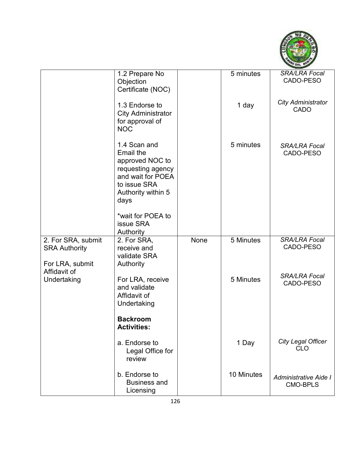

|                                                                               | 1.2 Prepare No<br>Objection<br>Certificate (NOC)                                                                                            |      | 5 minutes  | <b>SRA/LRA Focal</b><br>CADO-PESO        |
|-------------------------------------------------------------------------------|---------------------------------------------------------------------------------------------------------------------------------------------|------|------------|------------------------------------------|
|                                                                               | 1.3 Endorse to<br><b>City Administrator</b><br>for approval of<br><b>NOC</b>                                                                |      | 1 day      | <b>City Administrator</b><br><b>CADO</b> |
|                                                                               | 1.4 Scan and<br><b>Email the</b><br>approved NOC to<br>requesting agency<br>and wait for POEA<br>to issue SRA<br>Authority within 5<br>days |      | 5 minutes  | <b>SRA/LRA Focal</b><br>CADO-PESO        |
|                                                                               | *wait for POEA to<br>issue SRA<br>Authority                                                                                                 |      |            |                                          |
| 2. For SRA, submit<br><b>SRA Authority</b><br>For LRA, submit<br>Affidavit of | 2. For SRA,<br>receive and<br>validate SRA<br>Authority                                                                                     | None | 5 Minutes  | SRA/LRA Focal<br>CADO-PESO               |
| Undertaking                                                                   | For LRA, receive<br>and validate<br>Affidavit of<br>Undertaking                                                                             |      | 5 Minutes  | <b>SRA/LRA Focal</b><br>CADO-PESO        |
|                                                                               | <b>Backroom</b><br><b>Activities:</b>                                                                                                       |      |            |                                          |
|                                                                               | a. Endorse to<br>Legal Office for<br>review                                                                                                 |      | 1 Day      | <b>City Legal Officer</b><br><b>CLO</b>  |
|                                                                               | b. Endorse to<br><b>Business and</b><br>Licensing                                                                                           |      | 10 Minutes | Administrative Aide I<br><b>CMO-BPLS</b> |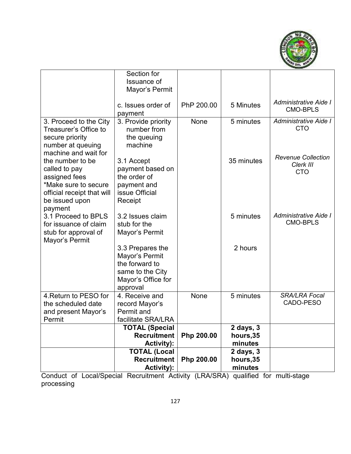

|                                                 | Section for                        |            |            |                           |
|-------------------------------------------------|------------------------------------|------------|------------|---------------------------|
|                                                 | Issuance of                        |            |            |                           |
|                                                 | Mayor's Permit                     |            |            |                           |
|                                                 |                                    |            |            | Administrative Aide I     |
|                                                 | c. Issues order of                 | PhP 200.00 | 5 Minutes  | <b>CMO-BPLS</b>           |
|                                                 | payment                            |            |            | Administrative Aide I     |
| 3. Proceed to the City<br>Treasurer's Office to | 3. Provide priority<br>number from | None       | 5 minutes  | <b>CTO</b>                |
|                                                 |                                    |            |            |                           |
| secure priority<br>number at queuing            | the queuing<br>machine             |            |            |                           |
| machine and wait for                            |                                    |            |            |                           |
| the number to be                                | 3.1 Accept                         |            | 35 minutes | <b>Revenue Collection</b> |
| called to pay                                   | payment based on                   |            |            | Clerk III                 |
| assigned fees                                   | the order of                       |            |            | <b>CTO</b>                |
| *Make sure to secure                            | payment and                        |            |            |                           |
| official receipt that will                      | issue Official                     |            |            |                           |
| be issued upon                                  | Receipt                            |            |            |                           |
| payment                                         |                                    |            |            |                           |
| 3.1 Proceed to BPLS                             | 3.2 Issues claim                   |            | 5 minutes  | Administrative Aide I     |
| for issuance of claim                           | stub for the                       |            |            | <b>CMO-BPLS</b>           |
| stub for approval of                            | Mayor's Permit                     |            |            |                           |
| Mayor's Permit                                  |                                    |            |            |                           |
|                                                 | 3.3 Prepares the                   |            | 2 hours    |                           |
|                                                 | Mayor's Permit                     |            |            |                           |
|                                                 | the forward to                     |            |            |                           |
|                                                 | same to the City                   |            |            |                           |
|                                                 | Mayor's Office for                 |            |            |                           |
|                                                 | approval                           |            |            |                           |
| 4. Return to PESO for                           | 4. Receive and                     | None       | 5 minutes  | <b>SRA/LRA Focal</b>      |
| the scheduled date                              | record Mayor's                     |            |            | CADO-PESO                 |
| and present Mayor's                             | Permit and                         |            |            |                           |
| Permit                                          | facilitate SRA/LRA                 |            |            |                           |
|                                                 | <b>TOTAL (Special</b>              |            | 2 days, 3  |                           |
|                                                 | <b>Recruitment</b>                 | Php 200.00 | hours, 35  |                           |
|                                                 | <b>Activity):</b>                  |            | minutes    |                           |
|                                                 | <b>TOTAL (Local</b>                |            | 2 days, 3  |                           |
|                                                 | <b>Recruitment</b>                 | Php 200.00 | hours,35   |                           |
|                                                 | <b>Activity):</b>                  |            | minutes    |                           |

Conduct of Local/Special Recruitment Activity (LRA/SRA) qualified for multi-stage processing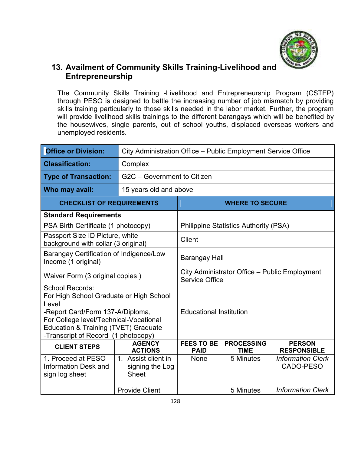

#### **13. Availment of Community Skills Training-Livelihood and Entrepreneurship**

The Community Skills Training -Livelihood and Entrepreneurship Program (CSTEP) through PESO is designed to battle the increasing number of job mismatch by providing skills training particularly to those skills needed in the labor market. Further, the program will provide livelihood skills trainings to the different barangays which will be benefited by the housewives, single parents, out of school youths, displaced overseas workers and unemployed residents.

| <b>Office or Division:</b>                                                                                                                                                                                                                  | City Administration Office - Public Employment Service Office |                                                                                                             |                                              |                                       |  |
|---------------------------------------------------------------------------------------------------------------------------------------------------------------------------------------------------------------------------------------------|---------------------------------------------------------------|-------------------------------------------------------------------------------------------------------------|----------------------------------------------|---------------------------------------|--|
| <b>Classification:</b>                                                                                                                                                                                                                      | Complex                                                       |                                                                                                             |                                              |                                       |  |
| <b>Type of Transaction:</b>                                                                                                                                                                                                                 |                                                               | G2C - Government to Citizen                                                                                 |                                              |                                       |  |
| Who may avail:                                                                                                                                                                                                                              | 15 years old and above                                        |                                                                                                             |                                              |                                       |  |
| <b>CHECKLIST OF REQUIREMENTS</b>                                                                                                                                                                                                            |                                                               | <b>WHERE TO SECURE</b>                                                                                      |                                              |                                       |  |
| <b>Standard Requirements</b>                                                                                                                                                                                                                |                                                               |                                                                                                             |                                              |                                       |  |
| PSA Birth Certificate (1 photocopy)                                                                                                                                                                                                         |                                                               |                                                                                                             | <b>Philippine Statistics Authority (PSA)</b> |                                       |  |
| Passport Size ID Picture, white<br>background with collar (3 original)                                                                                                                                                                      |                                                               | <b>Client</b>                                                                                               |                                              |                                       |  |
| <b>Barangay Certification of Indigence/Low</b><br>Income (1 original)                                                                                                                                                                       |                                                               | Barangay Hall                                                                                               |                                              |                                       |  |
| Waiver Form (3 original copies)                                                                                                                                                                                                             |                                                               | City Administrator Office - Public Employment<br><b>Service Office</b>                                      |                                              |                                       |  |
| School Records:<br>For High School Graduate or High School<br>Level<br>-Report Card/Form 137-A/Diploma,<br>For College level/Technical-Vocational<br><b>Education &amp; Training (TVET) Graduate</b><br>-Transcript of Record (1 photocopy) |                                                               | <b>Educational Institution</b>                                                                              |                                              |                                       |  |
| <b>CLIENT STEPS</b>                                                                                                                                                                                                                         | <b>AGENCY</b><br><b>ACTIONS</b>                               | <b>FEES TO BE</b><br><b>PROCESSING</b><br><b>PERSON</b><br><b>PAID</b><br><b>TIME</b><br><b>RESPONSIBLE</b> |                                              |                                       |  |
| 1. Proceed at PESO<br><b>Information Desk and</b><br>sign log sheet                                                                                                                                                                         | 1. Assist client in<br>signing the Log<br><b>Sheet</b>        | <b>None</b>                                                                                                 | 5 Minutes                                    | <b>Information Clerk</b><br>CADO-PESO |  |
|                                                                                                                                                                                                                                             | <b>Provide Client</b>                                         |                                                                                                             | 5 Minutes                                    | <b>Information Clerk</b>              |  |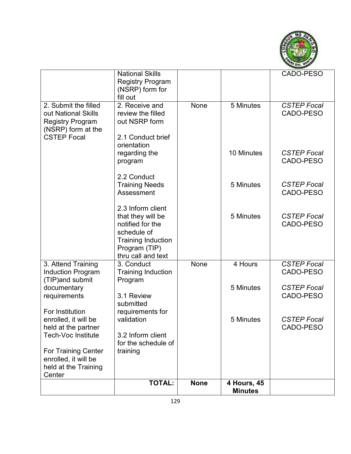

|                            | <b>National Skills</b>              |             |                | CADO-PESO                       |
|----------------------------|-------------------------------------|-------------|----------------|---------------------------------|
|                            | <b>Registry Program</b>             |             |                |                                 |
|                            | (NSRP) form for                     |             |                |                                 |
|                            | fill out                            |             |                |                                 |
| 2. Submit the filled       | 2. Receive and                      | None        | 5 Minutes      | <b>CSTEP Focal</b>              |
| out National Skills        | review the filled                   |             |                | CADO-PESO                       |
| <b>Registry Program</b>    | out NSRP form                       |             |                |                                 |
| (NSRP) form at the         |                                     |             |                |                                 |
| <b>CSTEP Focal</b>         | 2.1 Conduct brief                   |             |                |                                 |
|                            | orientation                         |             |                |                                 |
|                            | regarding the                       |             | 10 Minutes     | <b>CSTEP Focal</b><br>CADO-PESO |
|                            | program                             |             |                |                                 |
|                            | 2.2 Conduct                         |             |                |                                 |
|                            | <b>Training Needs</b>               |             | 5 Minutes      | <b>CSTEP Focal</b>              |
|                            | Assessment                          |             |                | CADO-PESO                       |
|                            |                                     |             |                |                                 |
|                            | 2.3 Inform client                   |             |                |                                 |
|                            | that they will be                   |             | 5 Minutes      | <b>CSTEP Focal</b>              |
|                            | notified for the                    |             |                | CADO-PESO                       |
|                            | schedule of                         |             |                |                                 |
|                            | <b>Training Induction</b>           |             |                |                                 |
|                            | Program (TIP)<br>thru call and text |             |                |                                 |
| 3. Attend Training         | 3. Conduct                          | None        | 4 Hours        | <b>CSTEP Focal</b>              |
| <b>Induction Program</b>   | <b>Training Induction</b>           |             |                | CADO-PESO                       |
| (TIP) and submit           | Program                             |             |                |                                 |
| documentary                |                                     |             | 5 Minutes      | <b>CSTEP Focal</b>              |
| requirements               | 3.1 Review                          |             |                | CADO-PESO                       |
|                            | submitted                           |             |                |                                 |
| For Institution            | requirements for                    |             |                |                                 |
| enrolled, it will be       | validation                          |             | 5 Minutes      | <b>CSTEP Focal</b>              |
| held at the partner        |                                     |             |                | CADO-PESO                       |
| <b>Tech-Voc Institute</b>  | 3.2 Inform client                   |             |                |                                 |
| <b>For Training Center</b> | for the schedule of<br>training     |             |                |                                 |
| enrolled, it will be       |                                     |             |                |                                 |
| held at the Training       |                                     |             |                |                                 |
| Center                     |                                     |             |                |                                 |
|                            | <b>TOTAL:</b>                       | <b>None</b> | 4 Hours, 45    |                                 |
|                            |                                     |             | <b>Minutes</b> |                                 |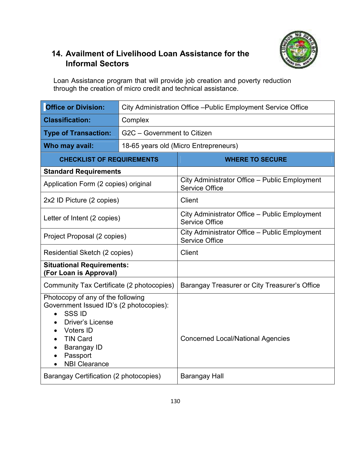

## **14. Availment of Livelihood Loan Assistance for the Informal Sectors**

Loan Assistance program that will provide job creation and poverty reduction through the creation of micro credit and technical assistance.

| <b>Office or Division:</b>                                                                                                                                                                                                            | City Administration Office - Public Employment Service Office |                                                                        |  |  |  |
|---------------------------------------------------------------------------------------------------------------------------------------------------------------------------------------------------------------------------------------|---------------------------------------------------------------|------------------------------------------------------------------------|--|--|--|
| <b>Classification:</b>                                                                                                                                                                                                                | Complex                                                       |                                                                        |  |  |  |
| <b>Type of Transaction:</b>                                                                                                                                                                                                           |                                                               | G2C - Government to Citizen                                            |  |  |  |
| Who may avail:                                                                                                                                                                                                                        |                                                               | 18-65 years old (Micro Entrepreneurs)                                  |  |  |  |
| <b>CHECKLIST OF REQUIREMENTS</b>                                                                                                                                                                                                      |                                                               | <b>WHERE TO SECURE</b>                                                 |  |  |  |
| <b>Standard Requirements</b>                                                                                                                                                                                                          |                                                               |                                                                        |  |  |  |
| Application Form (2 copies) original                                                                                                                                                                                                  |                                                               | City Administrator Office - Public Employment<br><b>Service Office</b> |  |  |  |
| 2x2 ID Picture (2 copies)                                                                                                                                                                                                             |                                                               | Client                                                                 |  |  |  |
| Letter of Intent (2 copies)                                                                                                                                                                                                           |                                                               | City Administrator Office - Public Employment<br>Service Office        |  |  |  |
| Project Proposal (2 copies)                                                                                                                                                                                                           |                                                               | City Administrator Office - Public Employment<br><b>Service Office</b> |  |  |  |
| Residential Sketch (2 copies)                                                                                                                                                                                                         |                                                               | <b>Client</b>                                                          |  |  |  |
| <b>Situational Requirements:</b><br>(For Loan is Approval)                                                                                                                                                                            |                                                               |                                                                        |  |  |  |
| Community Tax Certificate (2 photocopies)                                                                                                                                                                                             |                                                               | Barangay Treasurer or City Treasurer's Office                          |  |  |  |
| Photocopy of any of the following<br>Government Issued ID's (2 photocopies):<br><b>SSSID</b><br>$\bullet$<br><b>Driver's License</b><br><b>Voters ID</b><br><b>TIN Card</b><br><b>Barangay ID</b><br>Passport<br><b>NBI Clearance</b> |                                                               | <b>Concerned Local/National Agencies</b>                               |  |  |  |
| Barangay Certification (2 photocopies)                                                                                                                                                                                                |                                                               | <b>Barangay Hall</b>                                                   |  |  |  |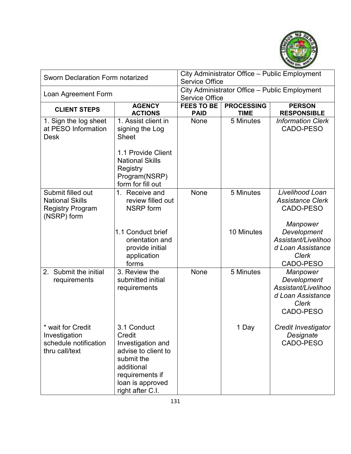

| <b>Sworn Declaration Form notarized</b>                                               |                                                                                                                                                          | City Administrator Office - Public Employment<br><b>Service Office</b> |                                  |                                                                                                  |  |
|---------------------------------------------------------------------------------------|----------------------------------------------------------------------------------------------------------------------------------------------------------|------------------------------------------------------------------------|----------------------------------|--------------------------------------------------------------------------------------------------|--|
| Loan Agreement Form                                                                   |                                                                                                                                                          | City Administrator Office - Public Employment<br><b>Service Office</b> |                                  |                                                                                                  |  |
| <b>CLIENT STEPS</b>                                                                   | <b>AGENCY</b><br><b>ACTIONS</b>                                                                                                                          | <b>FEES TO BE</b><br><b>PAID</b>                                       | <b>PROCESSING</b><br><b>TIME</b> | <b>PERSON</b><br><b>RESPONSIBLE</b>                                                              |  |
| 1. Sign the log sheet<br>at PESO Information<br><b>Desk</b>                           | 1. Assist client in<br>signing the Log<br><b>Sheet</b><br>1.1 Provide Client<br><b>National Skills</b><br>Registry<br>Program(NSRP)<br>form for fill out | None                                                                   | 5 Minutes                        | <b>Information Clerk</b><br>CADO-PESO                                                            |  |
| Submit filled out<br><b>National Skills</b><br><b>Registry Program</b><br>(NSRP) form | 1. Receive and<br>review filled out<br><b>NSRP</b> form                                                                                                  | None                                                                   | 5 Minutes                        | Livelihood Loan<br><b>Assistance Clerk</b><br>CADO-PESO<br>Manpower                              |  |
|                                                                                       | 1.1 Conduct brief<br>orientation and<br>provide initial<br>application<br>forms                                                                          |                                                                        | 10 Minutes                       | Development<br>Assistant/Livelihoo<br>d Loan Assistance<br><b>Clerk</b><br>CADO-PESO             |  |
| 2. Submit the initial<br>requirements                                                 | 3. Review the<br>submitted initial<br>requirements                                                                                                       | None                                                                   | 5 Minutes                        | Manpower<br>Development<br>Assistant/Livelihoo<br>d Loan Assistance<br><b>Clerk</b><br>CADO-PESO |  |
| * wait for Credit<br>Investigation<br>schedule notification<br>thru call/text         | 3.1 Conduct<br>Credit<br>Investigation and<br>advise to client to<br>submit the<br>additional<br>requirements if<br>loan is approved<br>right after C.I. |                                                                        | 1 Day                            | Credit Investigator<br>Designate<br>CADO-PESO                                                    |  |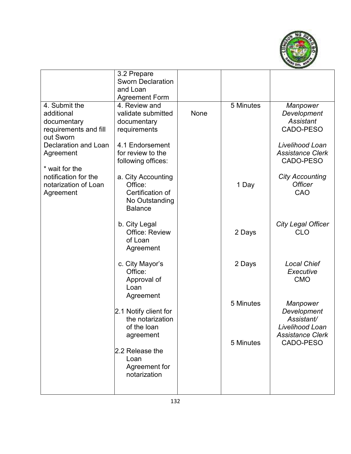

|                                                                                  | 3.2 Prepare<br><b>Sworn Declaration</b><br>and Loan<br><b>Agreement Form</b>          |      |           |                                                                                     |
|----------------------------------------------------------------------------------|---------------------------------------------------------------------------------------|------|-----------|-------------------------------------------------------------------------------------|
| 4. Submit the<br>additional<br>documentary<br>requirements and fill<br>out Sworn | 4. Review and<br>validate submitted<br>documentary<br>requirements                    | None | 5 Minutes | Manpower<br>Development<br><b>Assistant</b><br>CADO-PESO                            |
| Declaration and Loan<br>Agreement                                                | 4.1 Endorsement<br>for review to the<br>following offices:                            |      |           | Livelihood Loan<br><b>Assistance Clerk</b><br>CADO-PESO                             |
| * wait for the<br>notification for the<br>notarization of Loan<br>Agreement      | a. City Accounting<br>Office:<br>Certification of<br>No Outstanding<br><b>Balance</b> |      | 1 Day     | <b>City Accounting</b><br><b>Officer</b><br>CAO                                     |
|                                                                                  | b. City Legal<br><b>Office: Review</b><br>of Loan<br>Agreement                        |      | 2 Days    | <b>City Legal Officer</b><br><b>CLO</b>                                             |
|                                                                                  | c. City Mayor's<br>Office:<br>Approval of<br>Loan<br>Agreement                        |      | 2 Days    | <b>Local Chief</b><br>Executive<br><b>CMO</b>                                       |
|                                                                                  | 2.1 Notify client for<br>the notarization<br>of the loan<br>agreement                 |      | 5 Minutes | Manpower<br>Development<br>Assistant/<br>Livelihood Loan<br><b>Assistance Clerk</b> |
|                                                                                  | 2.2 Release the<br>Loan<br>Agreement for<br>notarization                              |      | 5 Minutes | CADO-PESO                                                                           |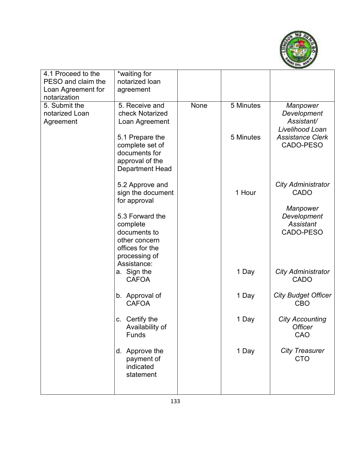

| 4.1 Proceed to the<br>PESO and claim the     | *waiting for<br>notarized loan                                                                                  |      |           |                                                          |
|----------------------------------------------|-----------------------------------------------------------------------------------------------------------------|------|-----------|----------------------------------------------------------|
| Loan Agreement for<br>notarization           | agreement                                                                                                       |      |           |                                                          |
| 5. Submit the<br>notarized Loan<br>Agreement | 5. Receive and<br>check Notarized<br>Loan Agreement                                                             | None | 5 Minutes | Manpower<br>Development<br>Assistant/<br>Livelihood Loan |
|                                              | 5.1 Prepare the<br>complete set of<br>documents for<br>approval of the<br><b>Department Head</b>                |      | 5 Minutes | <b>Assistance Clerk</b><br>CADO-PESO                     |
|                                              | 5.2 Approve and<br>sign the document<br>for approval                                                            |      | 1 Hour    | <b>City Administrator</b><br><b>CADO</b>                 |
|                                              | 5.3 Forward the<br>complete<br>documents to<br>other concern<br>offices for the<br>processing of<br>Assistance: |      |           | Manpower<br>Development<br><b>Assistant</b><br>CADO-PESO |
|                                              | a. Sign the<br><b>CAFOA</b>                                                                                     |      | 1 Day     | <b>City Administrator</b><br><b>CADO</b>                 |
|                                              | b. Approval of<br><b>CAFOA</b>                                                                                  |      | 1 Day     | <b>City Budget Officer</b><br><b>CBO</b>                 |
|                                              | c. Certify the<br>Availability of<br>Funds                                                                      |      | 1 Day     | <b>City Accounting</b><br><b>Officer</b><br>CAO          |
|                                              | d. Approve the<br>payment of<br>indicated<br>statement                                                          |      | 1 Day     | <b>City Treasurer</b><br><b>CTO</b>                      |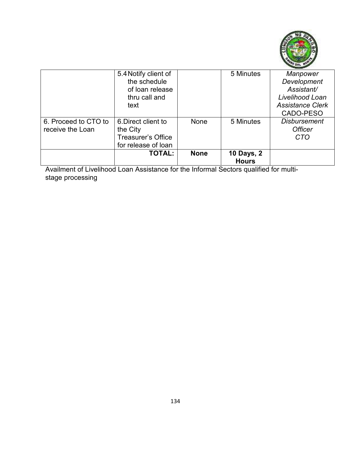

|                      | 5.4 Notify client of      |             | 5 Minutes                         | Manpower                |
|----------------------|---------------------------|-------------|-----------------------------------|-------------------------|
|                      | the schedule              |             |                                   | Development             |
|                      | of loan release           |             |                                   | Assistant/              |
|                      | thru call and             |             |                                   | Livelihood Loan         |
|                      | text                      |             |                                   | <b>Assistance Clerk</b> |
|                      |                           |             |                                   | CADO-PESO               |
| 6. Proceed to CTO to | 6. Direct client to       | None        | 5 Minutes                         | <b>Disbursement</b>     |
| receive the Loan     | the City                  |             |                                   | <b>Officer</b>          |
|                      | <b>Treasurer's Office</b> |             |                                   | <b>CTO</b>              |
|                      | for release of loan       |             |                                   |                         |
|                      | <b>TOTAL:</b>             | <b>None</b> | <b>10 Days, 2</b><br><b>Hours</b> |                         |

Availment of Livelihood Loan Assistance for the Informal Sectors qualified for multistage processing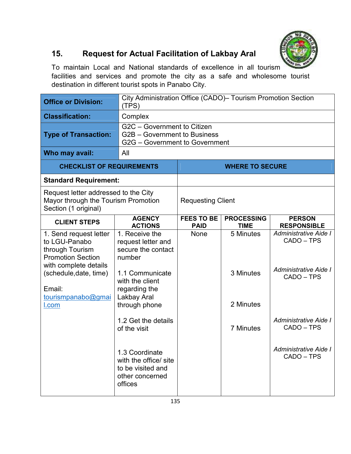

# **15. Request for Actual Facilitation of Lakbay Aral**

To maintain Local and National standards of excellence in all tourism facilities and services and promote the city as a safe and wholesome tourist destination in different tourist spots in Panabo City.

| <b>Office or Division:</b>                                                                                                                                                         | City Administration Office (CADO) - Tourism Promotion Section<br>(TPS)                                                                                      |                                  |                                     |                                                                            |  |
|------------------------------------------------------------------------------------------------------------------------------------------------------------------------------------|-------------------------------------------------------------------------------------------------------------------------------------------------------------|----------------------------------|-------------------------------------|----------------------------------------------------------------------------|--|
| <b>Classification:</b>                                                                                                                                                             | Complex                                                                                                                                                     |                                  |                                     |                                                                            |  |
| <b>Type of Transaction:</b>                                                                                                                                                        | G2C - Government to Citizen<br>G2B – Government to Business<br>G2G - Government to Government                                                               |                                  |                                     |                                                                            |  |
| Who may avail:                                                                                                                                                                     | All                                                                                                                                                         |                                  |                                     |                                                                            |  |
| <b>CHECKLIST OF REQUIREMENTS</b>                                                                                                                                                   |                                                                                                                                                             |                                  | <b>WHERE TO SECURE</b>              |                                                                            |  |
| <b>Standard Requirement:</b>                                                                                                                                                       |                                                                                                                                                             |                                  |                                     |                                                                            |  |
| Request letter addressed to the City<br>Mayor through the Tourism Promotion<br>Section (1 original)                                                                                |                                                                                                                                                             | <b>Requesting Client</b>         |                                     |                                                                            |  |
| <b>CLIENT STEPS</b>                                                                                                                                                                | <b>AGENCY</b><br><b>ACTIONS</b>                                                                                                                             | <b>FEES TO BE</b><br><b>PAID</b> | <b>PROCESSING</b><br><b>TIME</b>    | <b>PERSON</b><br><b>RESPONSIBLE</b>                                        |  |
| 1. Send request letter<br>to LGU-Panabo<br>through Tourism<br><b>Promotion Section</b><br>with complete details<br>(schedule, date, time)<br>Email:<br>tourismpanabo@gmai<br>I.com | 1. Receive the<br>request letter and<br>secure the contact<br>number<br>1.1 Communicate<br>with the client<br>regarding the<br>Lakbay Aral<br>through phone | None                             | 5 Minutes<br>3 Minutes<br>2 Minutes | Administrative Aide I<br>CADO - TPS<br>Administrative Aide I<br>CADO - TPS |  |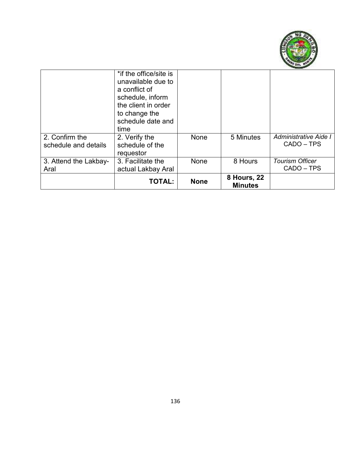

|                                        | <b>TOTAL:</b>                                                                                            | <b>None</b> | <b>8 Hours, 22</b><br><b>Minutes</b> |                                      |
|----------------------------------------|----------------------------------------------------------------------------------------------------------|-------------|--------------------------------------|--------------------------------------|
| 3. Attend the Lakbay-<br>Aral          | 3. Facilitate the<br>actual Lakbay Aral                                                                  | None        | 8 Hours                              | <b>Tourism Officer</b><br>CADO - TPS |
| 2. Confirm the<br>schedule and details | to change the<br>schedule date and<br>time<br>2. Verify the<br>schedule of the<br>requestor              | None        | 5 Minutes                            | Administrative Aide I<br>CADO - TPS  |
|                                        | *if the office/site is<br>unavailable due to<br>a conflict of<br>schedule, inform<br>the client in order |             |                                      |                                      |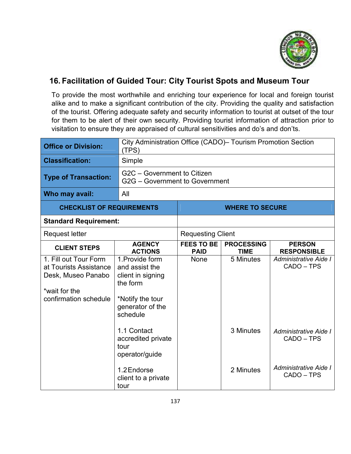

### **16. Facilitation of Guided Tour: City Tourist Spots and Museum Tour**

To provide the most worthwhile and enriching tour experience for local and foreign tourist alike and to make a significant contribution of the city. Providing the quality and satisfaction of the tourist. Offering adequate safety and security information to tourist at outset of the tour for them to be alert of their own security. Providing tourist information of attraction prior to visitation to ensure they are appraised of cultural sensitivities and do's and don'ts.

| <b>Office or Division:</b>                                                                                      | (TPS)                                                                                                                                                       | City Administration Office (CADO) - Tourism Promotion Section |                                  |                                                                            |  |  |
|-----------------------------------------------------------------------------------------------------------------|-------------------------------------------------------------------------------------------------------------------------------------------------------------|---------------------------------------------------------------|----------------------------------|----------------------------------------------------------------------------|--|--|
| <b>Classification:</b>                                                                                          | Simple                                                                                                                                                      |                                                               |                                  |                                                                            |  |  |
| <b>Type of Transaction:</b>                                                                                     |                                                                                                                                                             | G2C - Government to Citizen<br>G2G - Government to Government |                                  |                                                                            |  |  |
| Who may avail:                                                                                                  | All                                                                                                                                                         |                                                               |                                  |                                                                            |  |  |
| <b>CHECKLIST OF REQUIREMENTS</b>                                                                                |                                                                                                                                                             |                                                               | <b>WHERE TO SECURE</b>           |                                                                            |  |  |
| <b>Standard Requirement:</b>                                                                                    |                                                                                                                                                             |                                                               |                                  |                                                                            |  |  |
| Request letter                                                                                                  |                                                                                                                                                             | <b>Requesting Client</b>                                      |                                  |                                                                            |  |  |
| <b>CLIENT STEPS</b>                                                                                             | <b>AGENCY</b><br><b>ACTIONS</b>                                                                                                                             | <b>FEES TO BE</b><br><b>PAID</b>                              | <b>PROCESSING</b><br><b>TIME</b> | <b>PERSON</b><br><b>RESPONSIBLE</b>                                        |  |  |
| 1. Fill out Tour Form<br>at Tourists Assistance<br>Desk, Museo Panabo<br>*wait for the<br>confirmation schedule | 1. Provide form<br>and assist the<br>client in signing<br>the form<br>*Notify the tour<br>generator of the<br>schedule<br>1.1 Contact<br>accredited private | None                                                          | 5 Minutes<br>3 Minutes           | Administrative Aide I<br>CADO - TPS<br>Administrative Aide I<br>CADO - TPS |  |  |
|                                                                                                                 | tour<br>operator/guide<br>1.2 Endorse<br>client to a private<br>tour                                                                                        |                                                               | 2 Minutes                        | Administrative Aide I<br>CADO - TPS                                        |  |  |